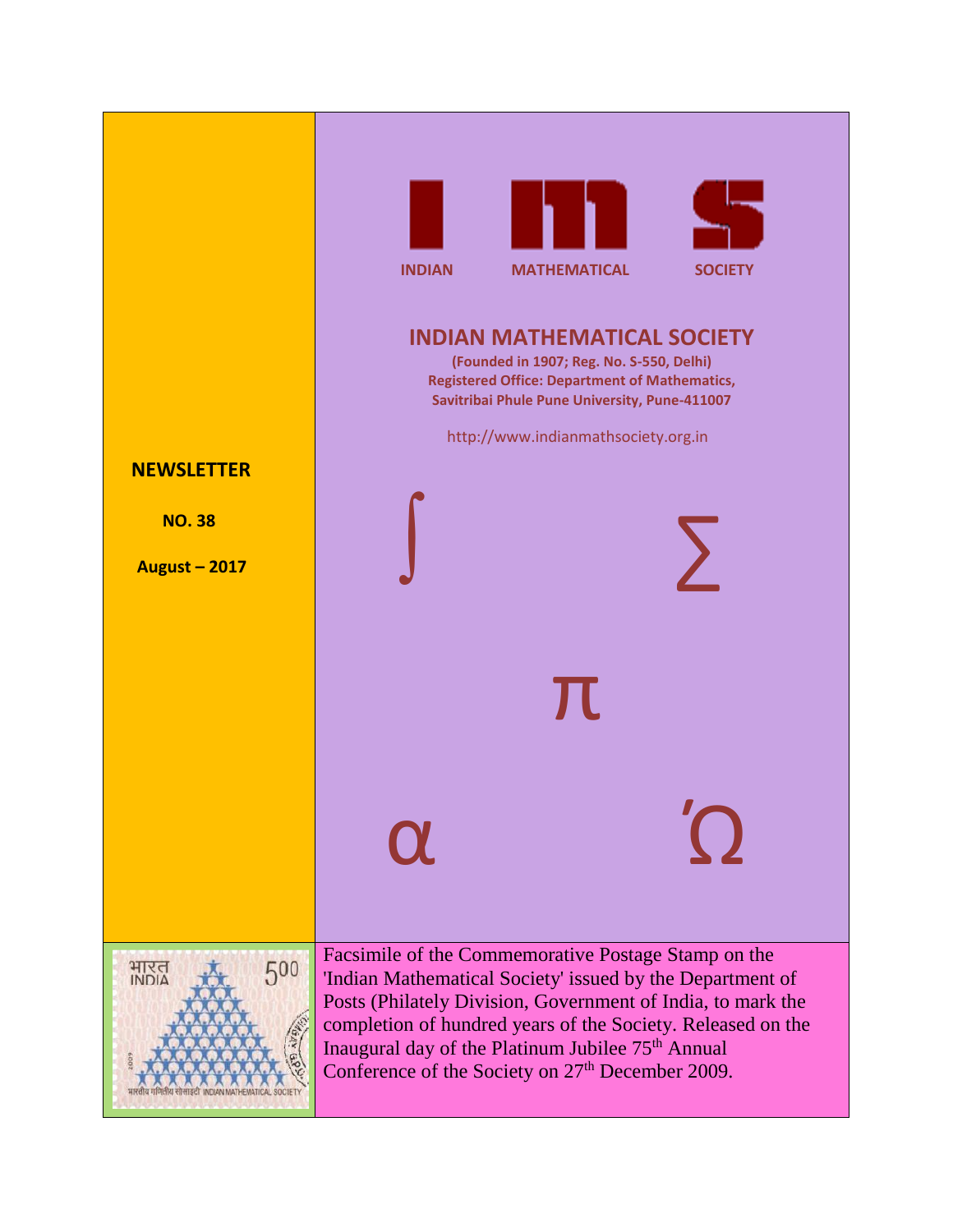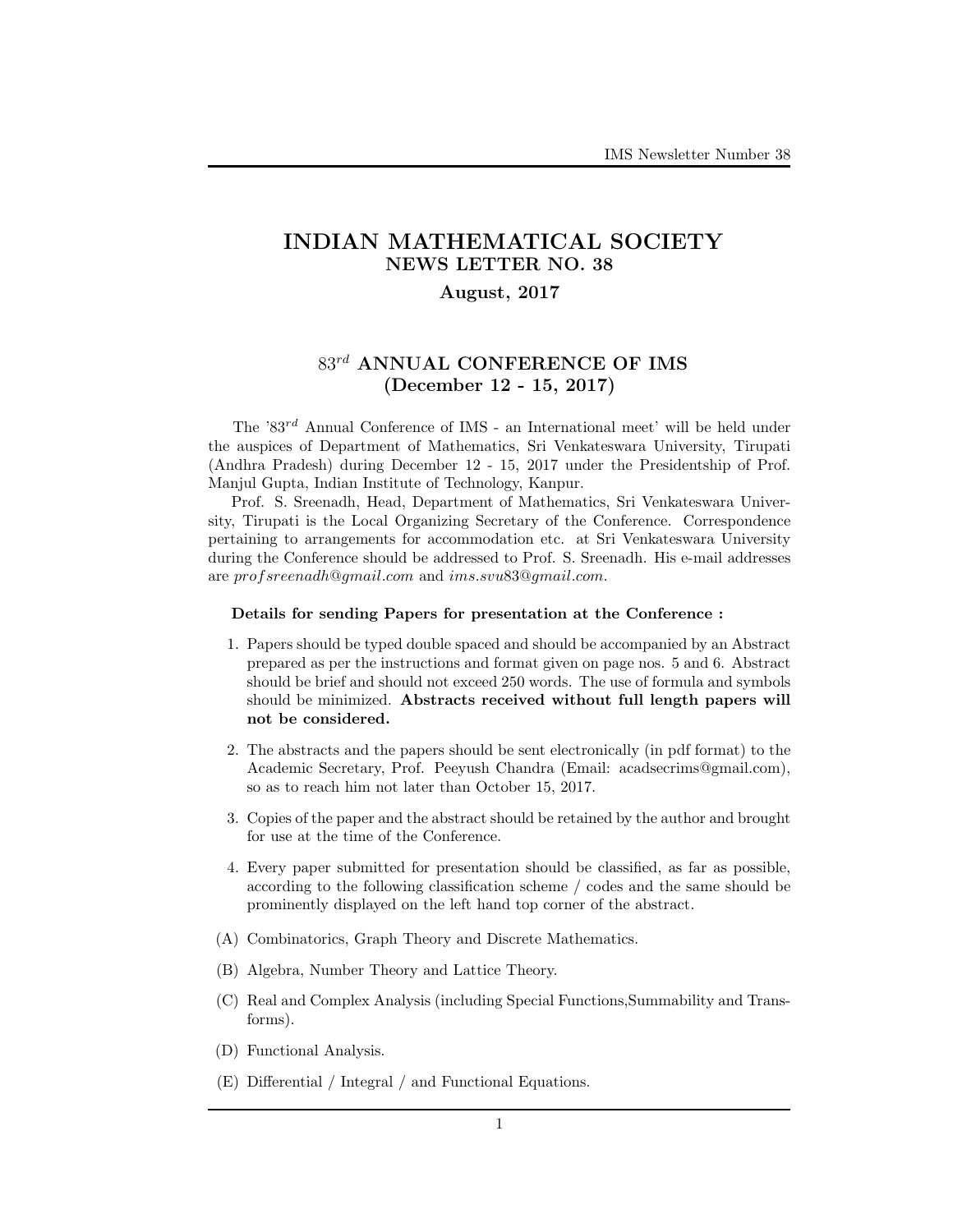# INDIAN MATHEMATICAL SOCIETY NEWS LETTER NO. 38

# August, 2017

# $83^{rd}$  ANNUAL CONFERENCE OF IMS (December 12 - 15, 2017)

The '83rd Annual Conference of IMS - an International meet' will be held under the auspices of Department of Mathematics, Sri Venkateswara University, Tirupati (Andhra Pradesh) during December 12 - 15, 2017 under the Presidentship of Prof. Manjul Gupta, Indian Institute of Technology, Kanpur.

Prof. S. Sreenadh, Head, Department of Mathematics, Sri Venkateswara University, Tirupati is the Local Organizing Secretary of the Conference. Correspondence pertaining to arrangements for accommodation etc. at Sri Venkateswara University during the Conference should be addressed to Prof. S. Sreenadh. His e-mail addresses are profsreenadh@gmail.com and ims.svu83@gmail.com.

#### Details for sending Papers for presentation at the Conference :

- 1. Papers should be typed double spaced and should be accompanied by an Abstract prepared as per the instructions and format given on page nos. 5 and 6. Abstract should be brief and should not exceed 250 words. The use of formula and symbols should be minimized. Abstracts received without full length papers will not be considered.
- 2. The abstracts and the papers should be sent electronically (in pdf format) to the Academic Secretary, Prof. Peeyush Chandra (Email: acadsecrims@gmail.com), so as to reach him not later than October 15, 2017.
- 3. Copies of the paper and the abstract should be retained by the author and brought for use at the time of the Conference.
- 4. Every paper submitted for presentation should be classified, as far as possible, according to the following classification scheme / codes and the same should be prominently displayed on the left hand top corner of the abstract.
- (A) Combinatorics, Graph Theory and Discrete Mathematics.
- (B) Algebra, Number Theory and Lattice Theory.
- (C) Real and Complex Analysis (including Special Functions,Summability and Transforms).
- (D) Functional Analysis.
- (E) Differential / Integral / and Functional Equations.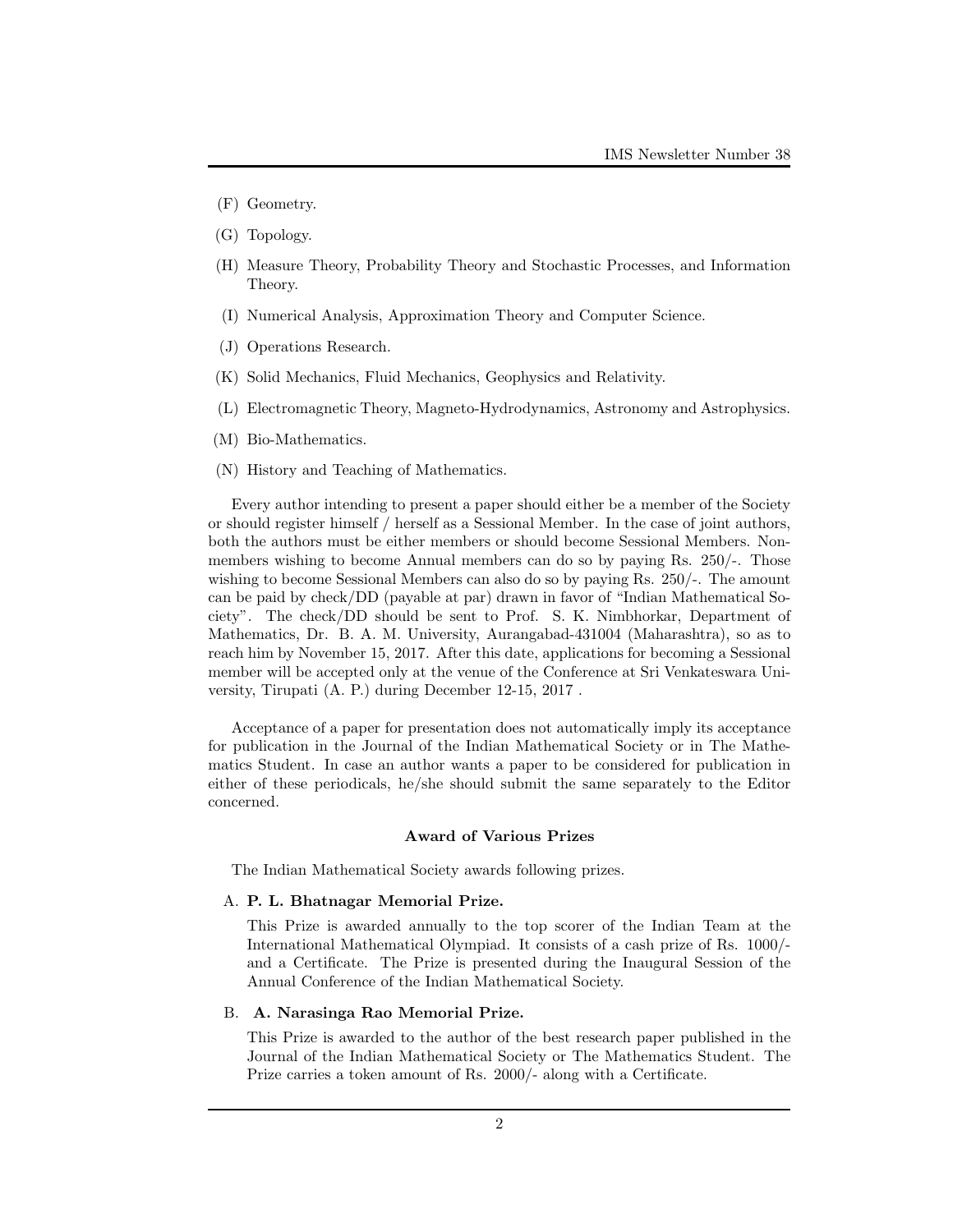- (F) Geometry.
- (G) Topology.
- (H) Measure Theory, Probability Theory and Stochastic Processes, and Information Theory.
- (I) Numerical Analysis, Approximation Theory and Computer Science.
- (J) Operations Research.
- (K) Solid Mechanics, Fluid Mechanics, Geophysics and Relativity.
- (L) Electromagnetic Theory, Magneto-Hydrodynamics, Astronomy and Astrophysics.
- (M) Bio-Mathematics.
- (N) History and Teaching of Mathematics.

Every author intending to present a paper should either be a member of the Society or should register himself / herself as a Sessional Member. In the case of joint authors, both the authors must be either members or should become Sessional Members. Nonmembers wishing to become Annual members can do so by paying Rs. 250/-. Those wishing to become Sessional Members can also do so by paying Rs. 250/-. The amount can be paid by check/DD (payable at par) drawn in favor of "Indian Mathematical Society". The check/DD should be sent to Prof. S. K. Nimbhorkar, Department of Mathematics, Dr. B. A. M. University, Aurangabad-431004 (Maharashtra), so as to reach him by November 15, 2017. After this date, applications for becoming a Sessional member will be accepted only at the venue of the Conference at Sri Venkateswara University, Tirupati (A. P.) during December 12-15, 2017 .

Acceptance of a paper for presentation does not automatically imply its acceptance for publication in the Journal of the Indian Mathematical Society or in The Mathematics Student. In case an author wants a paper to be considered for publication in either of these periodicals, he/she should submit the same separately to the Editor concerned.

#### Award of Various Prizes

The Indian Mathematical Society awards following prizes.

#### A. P. L. Bhatnagar Memorial Prize.

This Prize is awarded annually to the top scorer of the Indian Team at the International Mathematical Olympiad. It consists of a cash prize of Rs. 1000/ and a Certificate. The Prize is presented during the Inaugural Session of the Annual Conference of the Indian Mathematical Society.

#### B. A. Narasinga Rao Memorial Prize.

This Prize is awarded to the author of the best research paper published in the Journal of the Indian Mathematical Society or The Mathematics Student. The Prize carries a token amount of Rs. 2000/- along with a Certificate.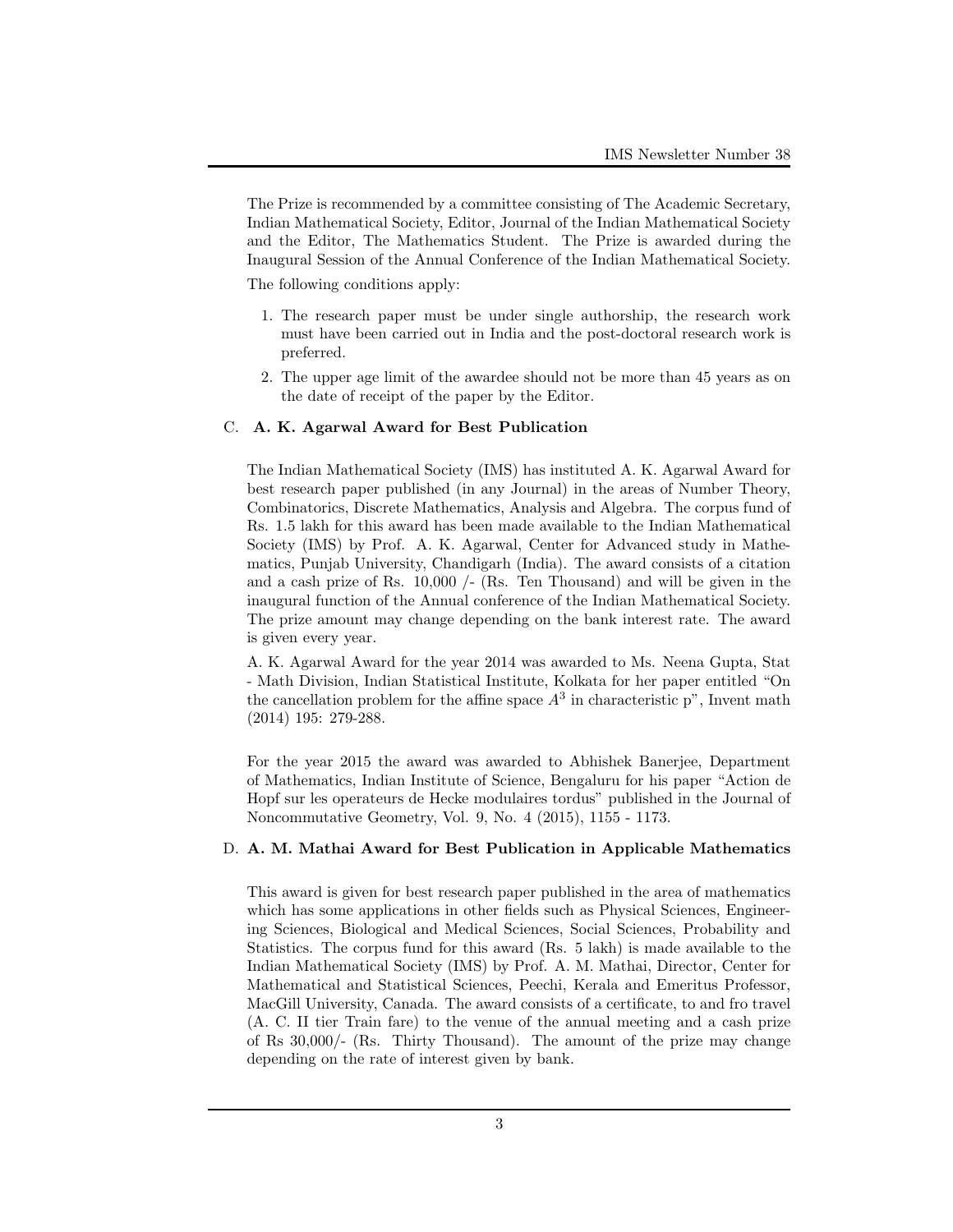The Prize is recommended by a committee consisting of The Academic Secretary, Indian Mathematical Society, Editor, Journal of the Indian Mathematical Society and the Editor, The Mathematics Student. The Prize is awarded during the Inaugural Session of the Annual Conference of the Indian Mathematical Society.

The following conditions apply:

- 1. The research paper must be under single authorship, the research work must have been carried out in India and the post-doctoral research work is preferred.
- 2. The upper age limit of the awardee should not be more than 45 years as on the date of receipt of the paper by the Editor.

# C. A. K. Agarwal Award for Best Publication

The Indian Mathematical Society (IMS) has instituted A. K. Agarwal Award for best research paper published (in any Journal) in the areas of Number Theory, Combinatorics, Discrete Mathematics, Analysis and Algebra. The corpus fund of Rs. 1.5 lakh for this award has been made available to the Indian Mathematical Society (IMS) by Prof. A. K. Agarwal, Center for Advanced study in Mathematics, Punjab University, Chandigarh (India). The award consists of a citation and a cash prize of Rs. 10,000 /- (Rs. Ten Thousand) and will be given in the inaugural function of the Annual conference of the Indian Mathematical Society. The prize amount may change depending on the bank interest rate. The award is given every year.

A. K. Agarwal Award for the year 2014 was awarded to Ms. Neena Gupta, Stat - Math Division, Indian Statistical Institute, Kolkata for her paper entitled "On the cancellation problem for the affine space  $A<sup>3</sup>$  in characteristic p<sup>"</sup>, Invent math (2014) 195: 279-288.

For the year 2015 the award was awarded to Abhishek Banerjee, Department of Mathematics, Indian Institute of Science, Bengaluru for his paper "Action de Hopf sur les operateurs de Hecke modulaires tordus" published in the Journal of Noncommutative Geometry, Vol. 9, No. 4 (2015), 1155 - 1173.

### D. A. M. Mathai Award for Best Publication in Applicable Mathematics

This award is given for best research paper published in the area of mathematics which has some applications in other fields such as Physical Sciences, Engineering Sciences, Biological and Medical Sciences, Social Sciences, Probability and Statistics. The corpus fund for this award (Rs. 5 lakh) is made available to the Indian Mathematical Society (IMS) by Prof. A. M. Mathai, Director, Center for Mathematical and Statistical Sciences, Peechi, Kerala and Emeritus Professor, MacGill University, Canada. The award consists of a certificate, to and fro travel (A. C. II tier Train fare) to the venue of the annual meeting and a cash prize of Rs 30,000/- (Rs. Thirty Thousand). The amount of the prize may change depending on the rate of interest given by bank.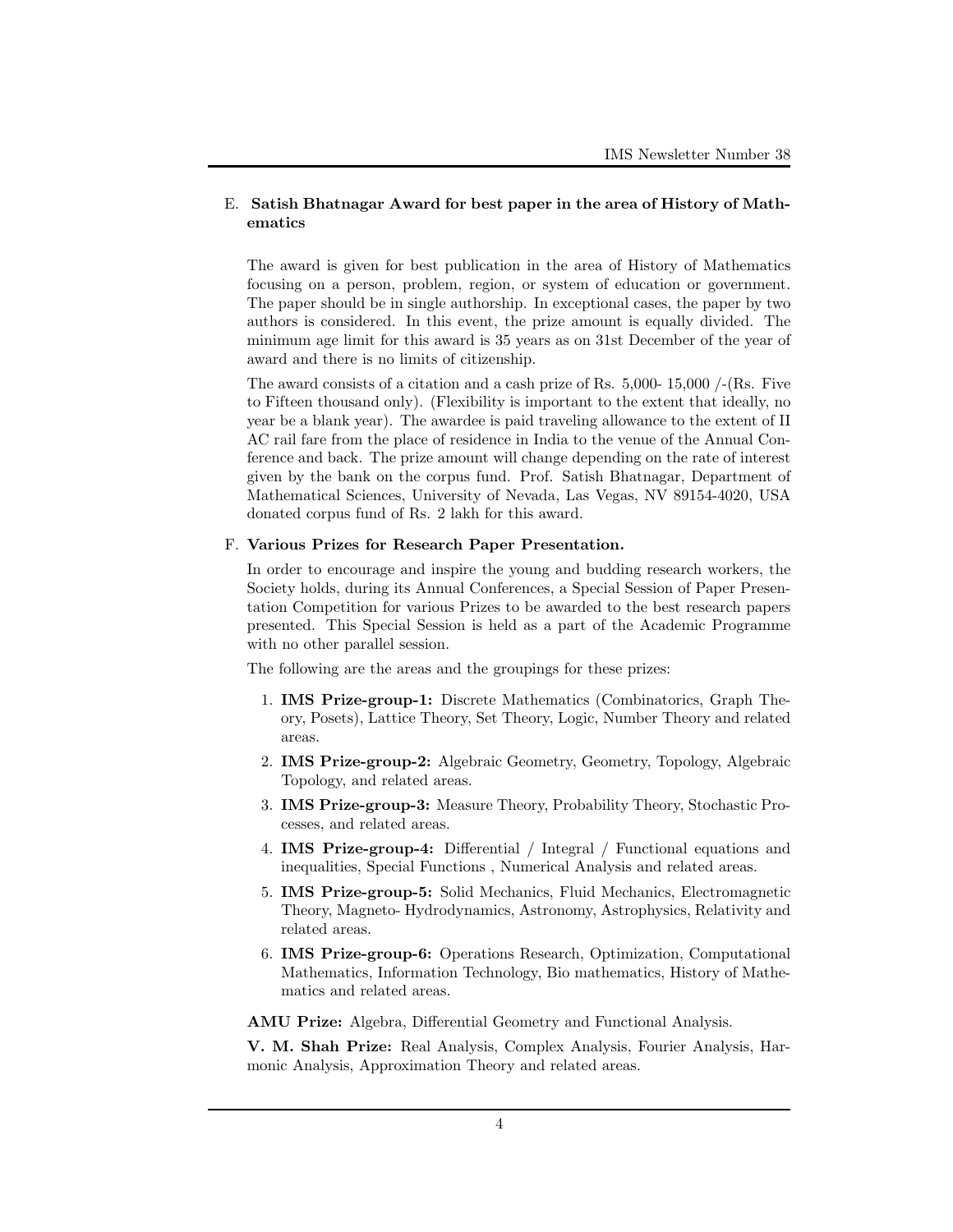# E. Satish Bhatnagar Award for best paper in the area of History of Mathematics

The award is given for best publication in the area of History of Mathematics focusing on a person, problem, region, or system of education or government. The paper should be in single authorship. In exceptional cases, the paper by two authors is considered. In this event, the prize amount is equally divided. The minimum age limit for this award is 35 years as on 31st December of the year of award and there is no limits of citizenship.

The award consists of a citation and a cash prize of Rs.  $5,000-15,000/({\text{Rs}}.$  Five to Fifteen thousand only). (Flexibility is important to the extent that ideally, no year be a blank year). The awardee is paid traveling allowance to the extent of II AC rail fare from the place of residence in India to the venue of the Annual Conference and back. The prize amount will change depending on the rate of interest given by the bank on the corpus fund. Prof. Satish Bhatnagar, Department of Mathematical Sciences, University of Nevada, Las Vegas, NV 89154-4020, USA donated corpus fund of Rs. 2 lakh for this award.

#### F. Various Prizes for Research Paper Presentation.

In order to encourage and inspire the young and budding research workers, the Society holds, during its Annual Conferences, a Special Session of Paper Presentation Competition for various Prizes to be awarded to the best research papers presented. This Special Session is held as a part of the Academic Programme with no other parallel session.

The following are the areas and the groupings for these prizes:

- 1. IMS Prize-group-1: Discrete Mathematics (Combinatorics, Graph Theory, Posets), Lattice Theory, Set Theory, Logic, Number Theory and related areas.
- 2. IMS Prize-group-2: Algebraic Geometry, Geometry, Topology, Algebraic Topology, and related areas.
- 3. IMS Prize-group-3: Measure Theory, Probability Theory, Stochastic Processes, and related areas.
- 4. IMS Prize-group-4: Differential / Integral / Functional equations and inequalities, Special Functions , Numerical Analysis and related areas.
- 5. IMS Prize-group-5: Solid Mechanics, Fluid Mechanics, Electromagnetic Theory, Magneto- Hydrodynamics, Astronomy, Astrophysics, Relativity and related areas.
- 6. IMS Prize-group-6: Operations Research, Optimization, Computational Mathematics, Information Technology, Bio mathematics, History of Mathematics and related areas.

AMU Prize: Algebra, Differential Geometry and Functional Analysis.

V. M. Shah Prize: Real Analysis, Complex Analysis, Fourier Analysis, Harmonic Analysis, Approximation Theory and related areas.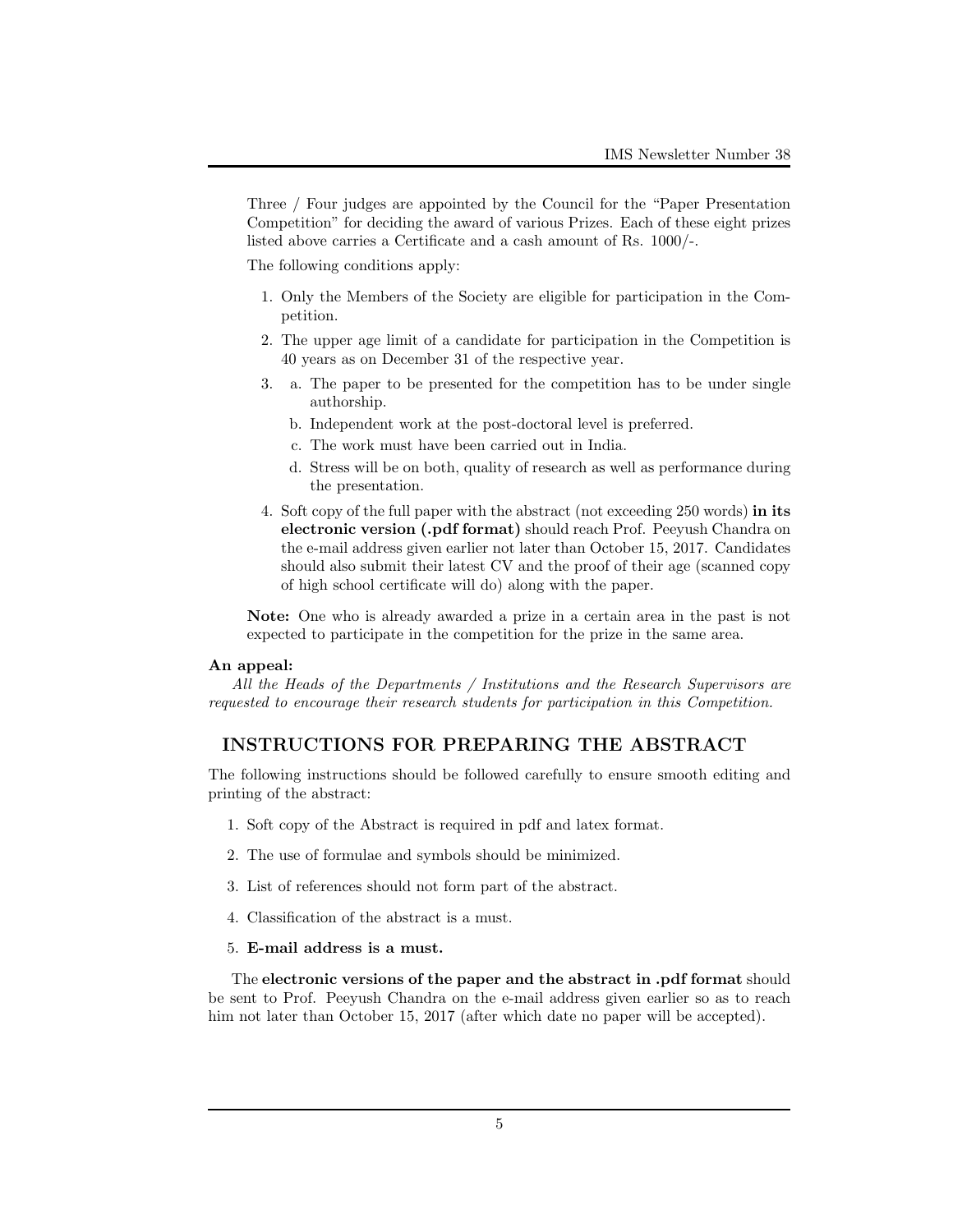Three / Four judges are appointed by the Council for the "Paper Presentation Competition" for deciding the award of various Prizes. Each of these eight prizes listed above carries a Certificate and a cash amount of Rs. 1000/-.

The following conditions apply:

- 1. Only the Members of the Society are eligible for participation in the Competition.
- 2. The upper age limit of a candidate for participation in the Competition is 40 years as on December 31 of the respective year.
- 3. a. The paper to be presented for the competition has to be under single authorship.
	- b. Independent work at the post-doctoral level is preferred.
	- c. The work must have been carried out in India.
	- d. Stress will be on both, quality of research as well as performance during the presentation.
- 4. Soft copy of the full paper with the abstract (not exceeding 250 words) in its electronic version (.pdf format) should reach Prof. Peeyush Chandra on the e-mail address given earlier not later than October 15, 2017. Candidates should also submit their latest CV and the proof of their age (scanned copy of high school certificate will do) along with the paper.

Note: One who is already awarded a prize in a certain area in the past is not expected to participate in the competition for the prize in the same area.

#### An appeal:

All the Heads of the Departments / Institutions and the Research Supervisors are requested to encourage their research students for participation in this Competition.

# INSTRUCTIONS FOR PREPARING THE ABSTRACT

The following instructions should be followed carefully to ensure smooth editing and printing of the abstract:

- 1. Soft copy of the Abstract is required in pdf and latex format.
- 2. The use of formulae and symbols should be minimized.
- 3. List of references should not form part of the abstract.
- 4. Classification of the abstract is a must.
- 5. E-mail address is a must.

The electronic versions of the paper and the abstract in .pdf format should be sent to Prof. Peeyush Chandra on the e-mail address given earlier so as to reach him not later than October 15, 2017 (after which date no paper will be accepted).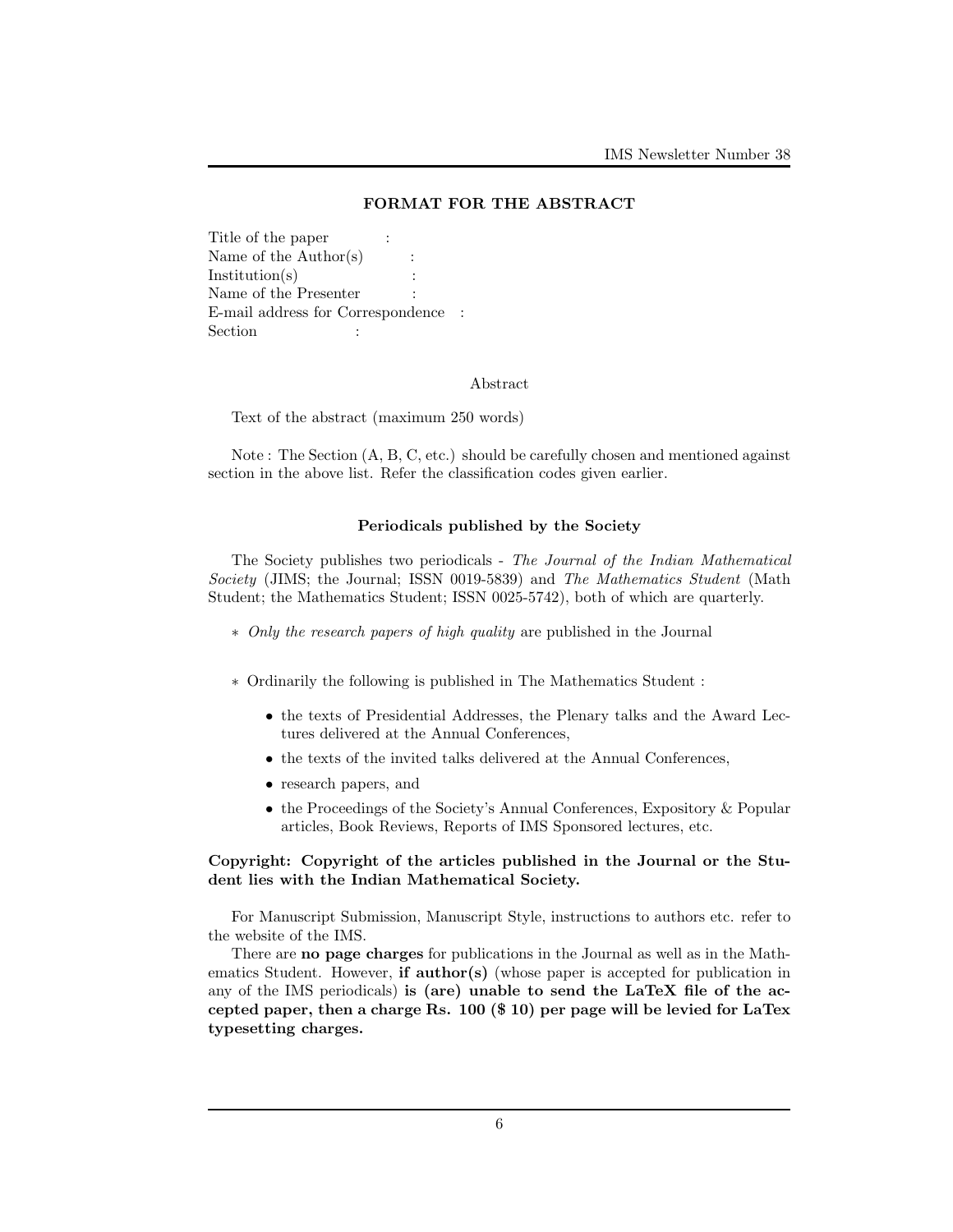# FORMAT FOR THE ABSTRACT

Title of the paper : Name of the Author(s) :  $Institution(s)$ Name of the Presenter E-mail address for Correspondence : Section : :

### Abstract

Text of the abstract (maximum 250 words)

Note : The Section (A, B, C, etc.) should be carefully chosen and mentioned against section in the above list. Refer the classification codes given earlier.

# Periodicals published by the Society

The Society publishes two periodicals - The Journal of the Indian Mathematical Society (JIMS; the Journal; ISSN 0019-5839) and The Mathematics Student (Math Student; the Mathematics Student; ISSN 0025-5742), both of which are quarterly.

- ∗ Only the research papers of high quality are published in the Journal
- ∗ Ordinarily the following is published in The Mathematics Student :
	- the texts of Presidential Addresses, the Plenary talks and the Award Lectures delivered at the Annual Conferences,
	- the texts of the invited talks delivered at the Annual Conferences,
	- research papers, and
	- the Proceedings of the Society's Annual Conferences, Expository & Popular articles, Book Reviews, Reports of IMS Sponsored lectures, etc.

# Copyright: Copyright of the articles published in the Journal or the Student lies with the Indian Mathematical Society.

For Manuscript Submission, Manuscript Style, instructions to authors etc. refer to the website of the IMS.

There are no page charges for publications in the Journal as well as in the Mathematics Student. However, **if author(s)** (whose paper is accepted for publication in any of the IMS periodicals) is (are) unable to send the LaTeX file of the accepted paper, then a charge Rs. 100 (\$ 10) per page will be levied for LaTex typesetting charges.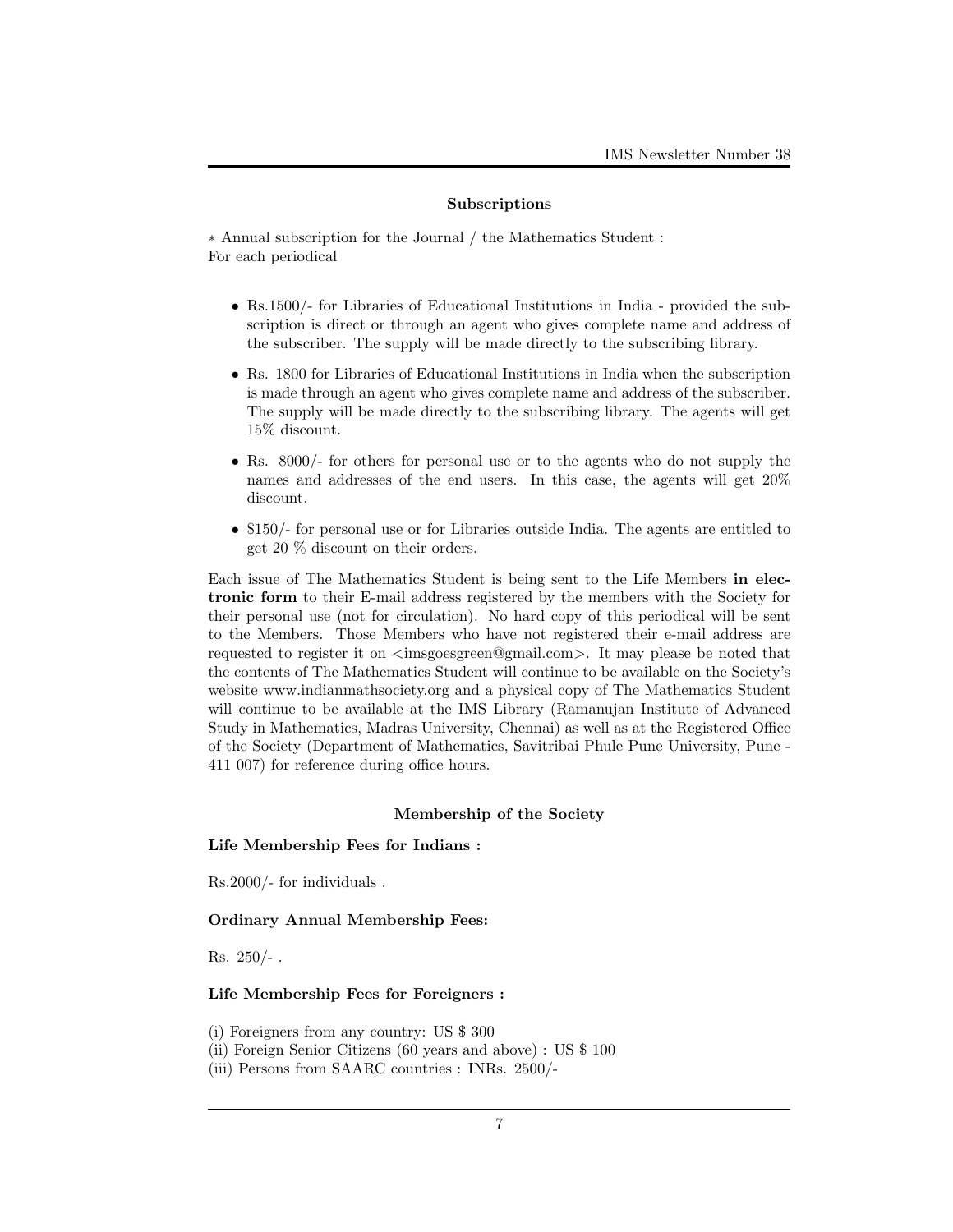### Subscriptions

∗ Annual subscription for the Journal / the Mathematics Student : For each periodical

- Rs.1500/- for Libraries of Educational Institutions in India provided the subscription is direct or through an agent who gives complete name and address of the subscriber. The supply will be made directly to the subscribing library.
- Rs. 1800 for Libraries of Educational Institutions in India when the subscription is made through an agent who gives complete name and address of the subscriber. The supply will be made directly to the subscribing library. The agents will get 15% discount.
- Rs. 8000/- for others for personal use or to the agents who do not supply the names and addresses of the end users. In this case, the agents will get 20% discount.
- \$150/- for personal use or for Libraries outside India. The agents are entitled to get 20 % discount on their orders.

Each issue of The Mathematics Student is being sent to the Life Members in electronic form to their E-mail address registered by the members with the Society for their personal use (not for circulation). No hard copy of this periodical will be sent to the Members. Those Members who have not registered their e-mail address are requested to register it on  $\langle\text{imsgoesgreen@gmail.com}\rangle$ . It may please be noted that the contents of The Mathematics Student will continue to be available on the Society's website www.indianmathsociety.org and a physical copy of The Mathematics Student will continue to be available at the IMS Library (Ramanujan Institute of Advanced Study in Mathematics, Madras University, Chennai) as well as at the Registered Office of the Society (Department of Mathematics, Savitribai Phule Pune University, Pune - 411 007) for reference during office hours.

# Membership of the Society

# Life Membership Fees for Indians :

Rs.2000/- for individuals .

### Ordinary Annual Membership Fees:

Rs.  $250/-$ .

# Life Membership Fees for Foreigners :

(i) Foreigners from any country: US \$ 300

- (ii) Foreign Senior Citizens (60 years and above) : US \$ 100
- (iii) Persons from SAARC countries : INRs. 2500/-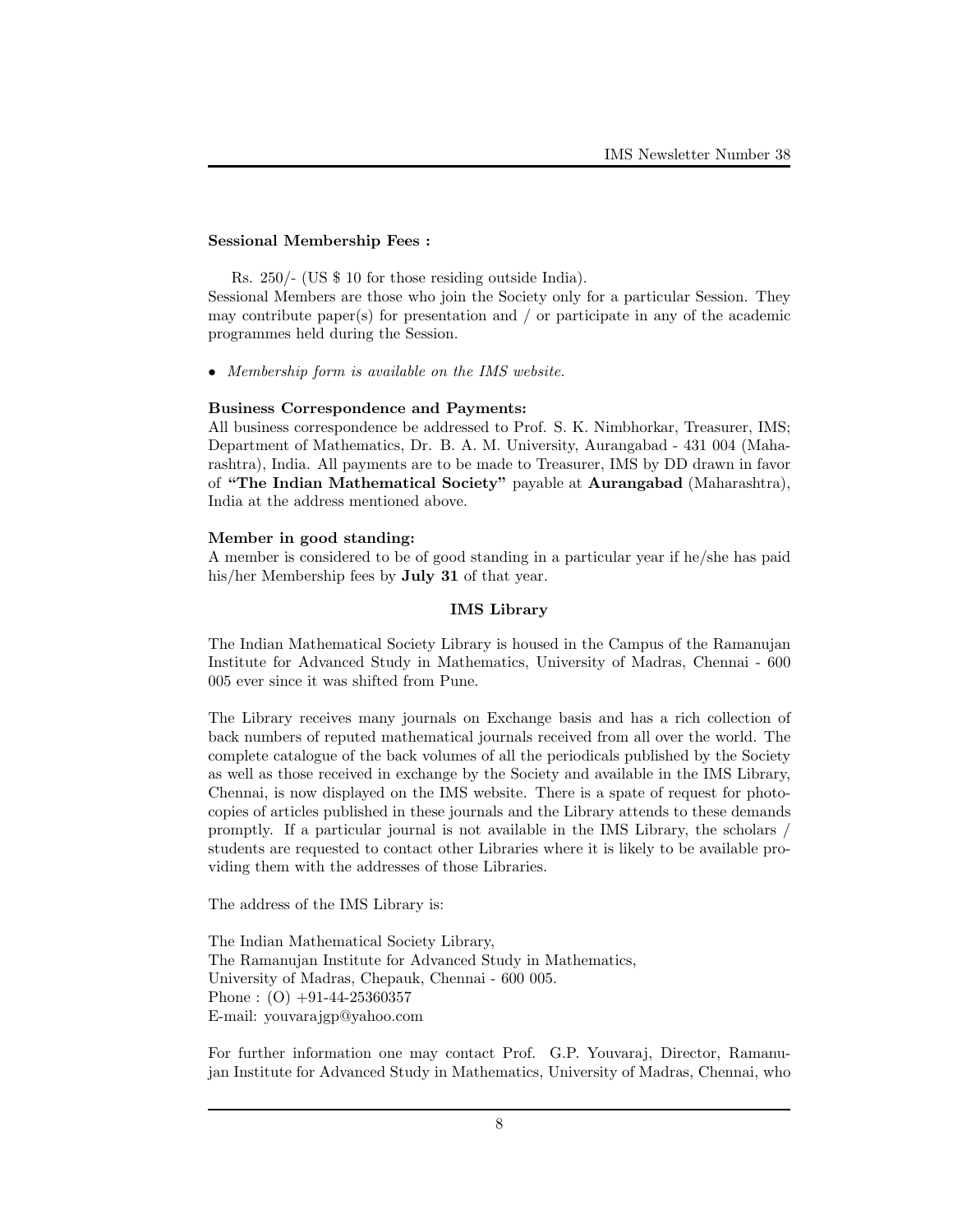### Sessional Membership Fees :

Rs. 250/- (US \$ 10 for those residing outside India).

Sessional Members are those who join the Society only for a particular Session. They may contribute paper(s) for presentation and / or participate in any of the academic programmes held during the Session.

• Membership form is available on the IMS website.

#### Business Correspondence and Payments:

All business correspondence be addressed to Prof. S. K. Nimbhorkar, Treasurer, IMS; Department of Mathematics, Dr. B. A. M. University, Aurangabad - 431 004 (Maharashtra), India. All payments are to be made to Treasurer, IMS by DD drawn in favor of "The Indian Mathematical Society" payable at Aurangabad (Maharashtra), India at the address mentioned above.

#### Member in good standing:

A member is considered to be of good standing in a particular year if he/she has paid his/her Membership fees by **July 31** of that year.

# IMS Library

The Indian Mathematical Society Library is housed in the Campus of the Ramanujan Institute for Advanced Study in Mathematics, University of Madras, Chennai - 600 005 ever since it was shifted from Pune.

The Library receives many journals on Exchange basis and has a rich collection of back numbers of reputed mathematical journals received from all over the world. The complete catalogue of the back volumes of all the periodicals published by the Society as well as those received in exchange by the Society and available in the IMS Library, Chennai, is now displayed on the IMS website. There is a spate of request for photocopies of articles published in these journals and the Library attends to these demands promptly. If a particular journal is not available in the IMS Library, the scholars / students are requested to contact other Libraries where it is likely to be available providing them with the addresses of those Libraries.

The address of the IMS Library is:

The Indian Mathematical Society Library, The Ramanujan Institute for Advanced Study in Mathematics, University of Madras, Chepauk, Chennai - 600 005. Phone :  $(O)$  +91-44-25360357 E-mail: youvarajgp@yahoo.com

For further information one may contact Prof. G.P. Youvaraj, Director, Ramanujan Institute for Advanced Study in Mathematics, University of Madras, Chennai, who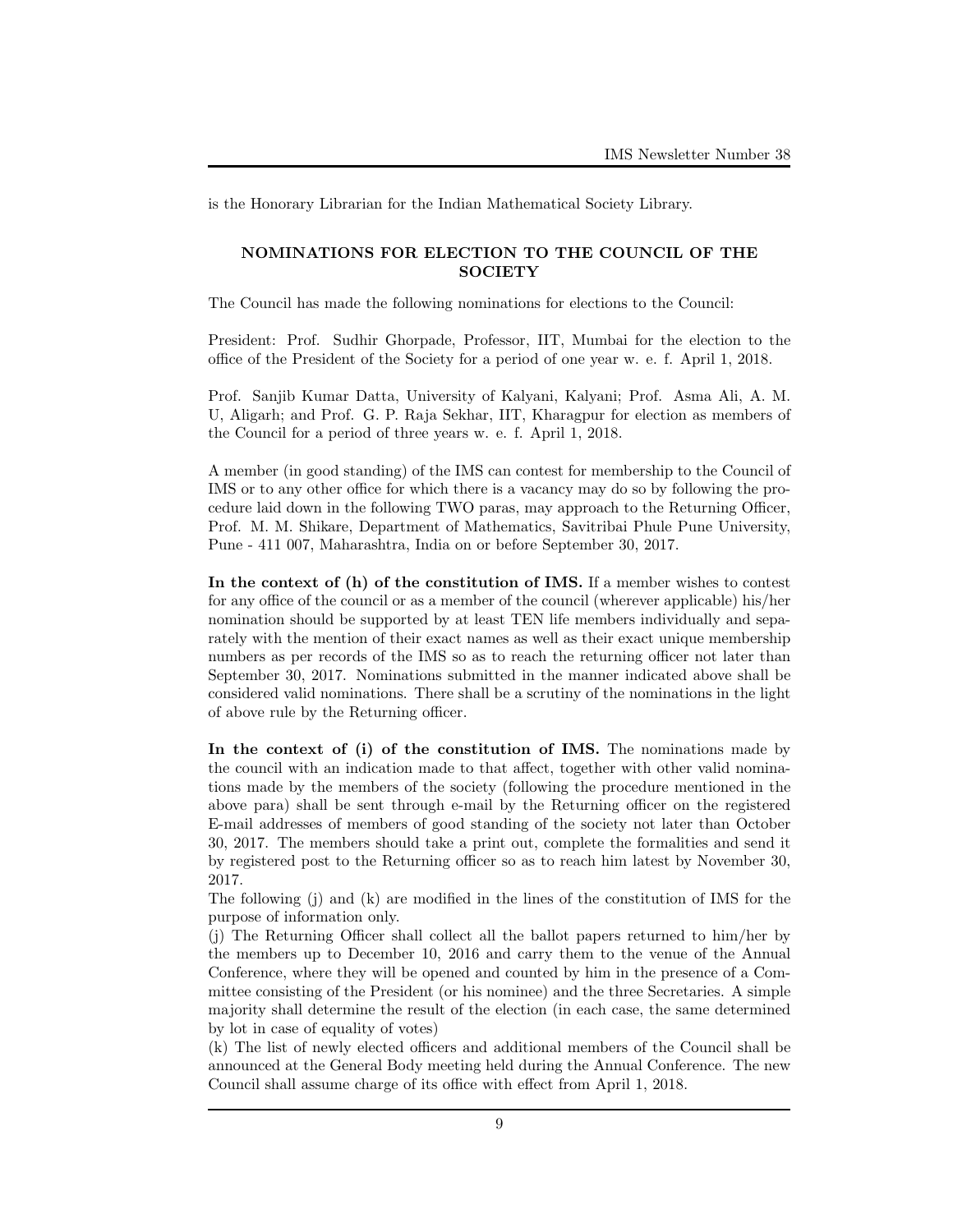is the Honorary Librarian for the Indian Mathematical Society Library.

# NOMINATIONS FOR ELECTION TO THE COUNCIL OF THE **SOCIETY**

The Council has made the following nominations for elections to the Council:

President: Prof. Sudhir Ghorpade, Professor, IIT, Mumbai for the election to the office of the President of the Society for a period of one year w. e. f. April 1, 2018.

Prof. Sanjib Kumar Datta, University of Kalyani, Kalyani; Prof. Asma Ali, A. M. U, Aligarh; and Prof. G. P. Raja Sekhar, IIT, Kharagpur for election as members of the Council for a period of three years w. e. f. April 1, 2018.

A member (in good standing) of the IMS can contest for membership to the Council of IMS or to any other office for which there is a vacancy may do so by following the procedure laid down in the following TWO paras, may approach to the Returning Officer, Prof. M. M. Shikare, Department of Mathematics, Savitribai Phule Pune University, Pune - 411 007, Maharashtra, India on or before September 30, 2017.

In the context of (h) of the constitution of IMS. If a member wishes to contest for any office of the council or as a member of the council (wherever applicable) his/her nomination should be supported by at least TEN life members individually and separately with the mention of their exact names as well as their exact unique membership numbers as per records of the IMS so as to reach the returning officer not later than September 30, 2017. Nominations submitted in the manner indicated above shall be considered valid nominations. There shall be a scrutiny of the nominations in the light of above rule by the Returning officer.

In the context of (i) of the constitution of IMS. The nominations made by the council with an indication made to that affect, together with other valid nominations made by the members of the society (following the procedure mentioned in the above para) shall be sent through e-mail by the Returning officer on the registered E-mail addresses of members of good standing of the society not later than October 30, 2017. The members should take a print out, complete the formalities and send it by registered post to the Returning officer so as to reach him latest by November 30, 2017.

The following (j) and (k) are modified in the lines of the constitution of IMS for the purpose of information only.

(j) The Returning Officer shall collect all the ballot papers returned to him/her by the members up to December 10, 2016 and carry them to the venue of the Annual Conference, where they will be opened and counted by him in the presence of a Committee consisting of the President (or his nominee) and the three Secretaries. A simple majority shall determine the result of the election (in each case, the same determined by lot in case of equality of votes)

(k) The list of newly elected officers and additional members of the Council shall be announced at the General Body meeting held during the Annual Conference. The new Council shall assume charge of its office with effect from April 1, 2018.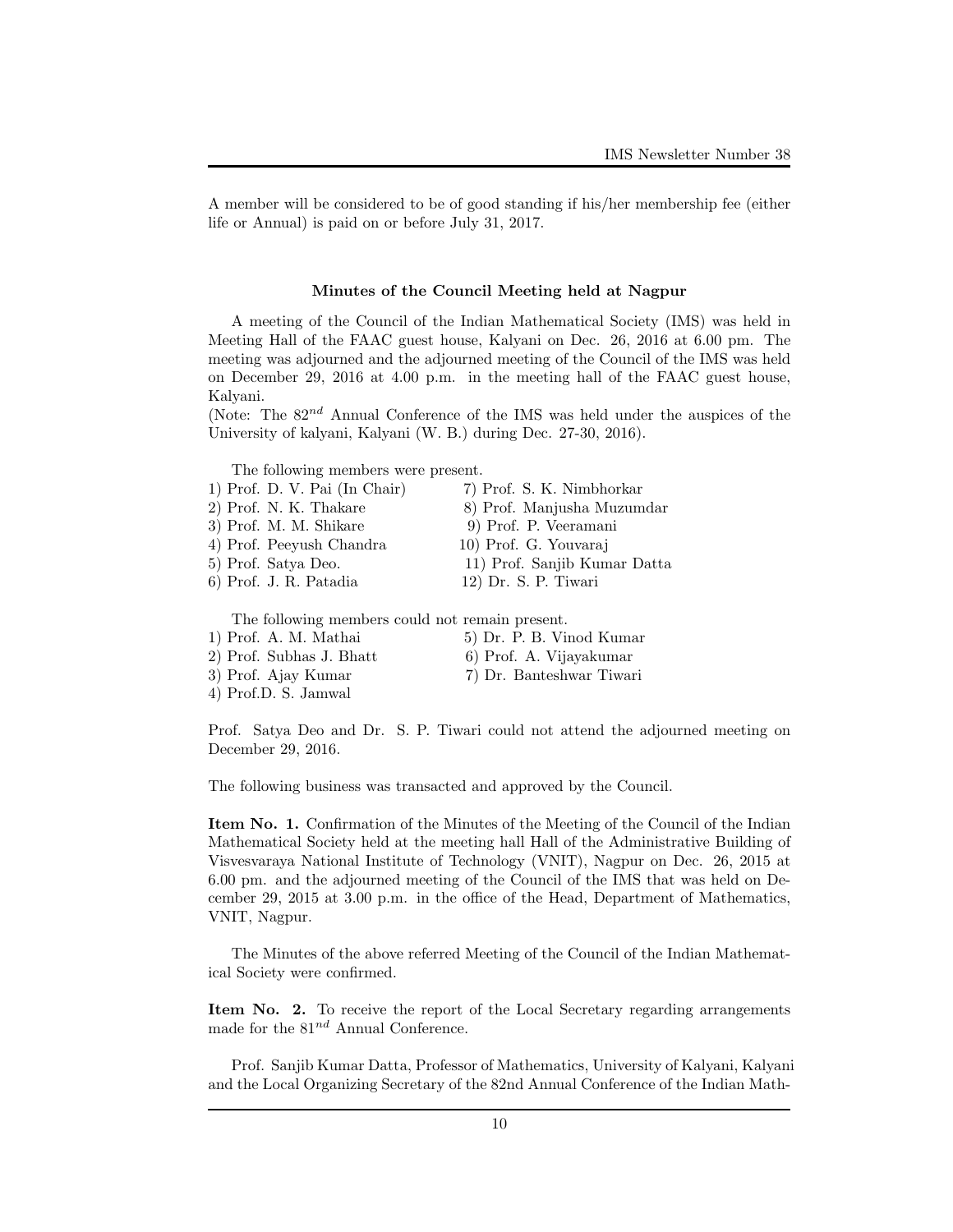A member will be considered to be of good standing if his/her membership fee (either life or Annual) is paid on or before July 31, 2017.

### Minutes of the Council Meeting held at Nagpur

A meeting of the Council of the Indian Mathematical Society (IMS) was held in Meeting Hall of the FAAC guest house, Kalyani on Dec. 26, 2016 at 6.00 pm. The meeting was adjourned and the adjourned meeting of the Council of the IMS was held on December 29, 2016 at 4.00 p.m. in the meeting hall of the FAAC guest house, Kalyani.

(Note: The  $82^{nd}$  Annual Conference of the IMS was held under the auspices of the University of kalyani, Kalyani (W. B.) during Dec. 27-30, 2016).

The following members were present.

| 1) Prof. D. V. Pai (In Chair) | 7) Prof. S. K. Nimbhorkar    |
|-------------------------------|------------------------------|
| 2) Prof. N. K. Thakare        | 8) Prof. Manjusha Muzumdar   |
| 3) Prof. M. M. Shikare        | 9) Prof. P. Veeramani        |
| 4) Prof. Peeyush Chandra      | 10) Prof. G. Youvaraj        |
| 5) Prof. Satya Deo.           | 11) Prof. Sanjib Kumar Datta |
| 6) Prof. J. R. Patadia        | 12) Dr. S. P. Tiwari         |
|                               |                              |

The following members could not remain present.

- 1) Prof. A. M. Mathai 5) Dr. P. B. Vinod Kumar 2) Prof. Subhas J. Bhatt 6) Prof. A. Vijayakumar
- 4) Prof.D. S. Jamwal
- 
- 3) Prof. Ajay Kumar 7) Dr. Banteshwar Tiwari

Prof. Satya Deo and Dr. S. P. Tiwari could not attend the adjourned meeting on December 29, 2016.

The following business was transacted and approved by the Council.

Item No. 1. Confirmation of the Minutes of the Meeting of the Council of the Indian Mathematical Society held at the meeting hall Hall of the Administrative Building of Visvesvaraya National Institute of Technology (VNIT), Nagpur on Dec. 26, 2015 at 6.00 pm. and the adjourned meeting of the Council of the IMS that was held on December 29, 2015 at 3.00 p.m. in the office of the Head, Department of Mathematics, VNIT, Nagpur.

The Minutes of the above referred Meeting of the Council of the Indian Mathematical Society were confirmed.

Item No. 2. To receive the report of the Local Secretary regarding arrangements made for the  $81^{nd}$  Annual Conference.

Prof. Sanjib Kumar Datta, Professor of Mathematics, University of Kalyani, Kalyani and the Local Organizing Secretary of the 82nd Annual Conference of the Indian Math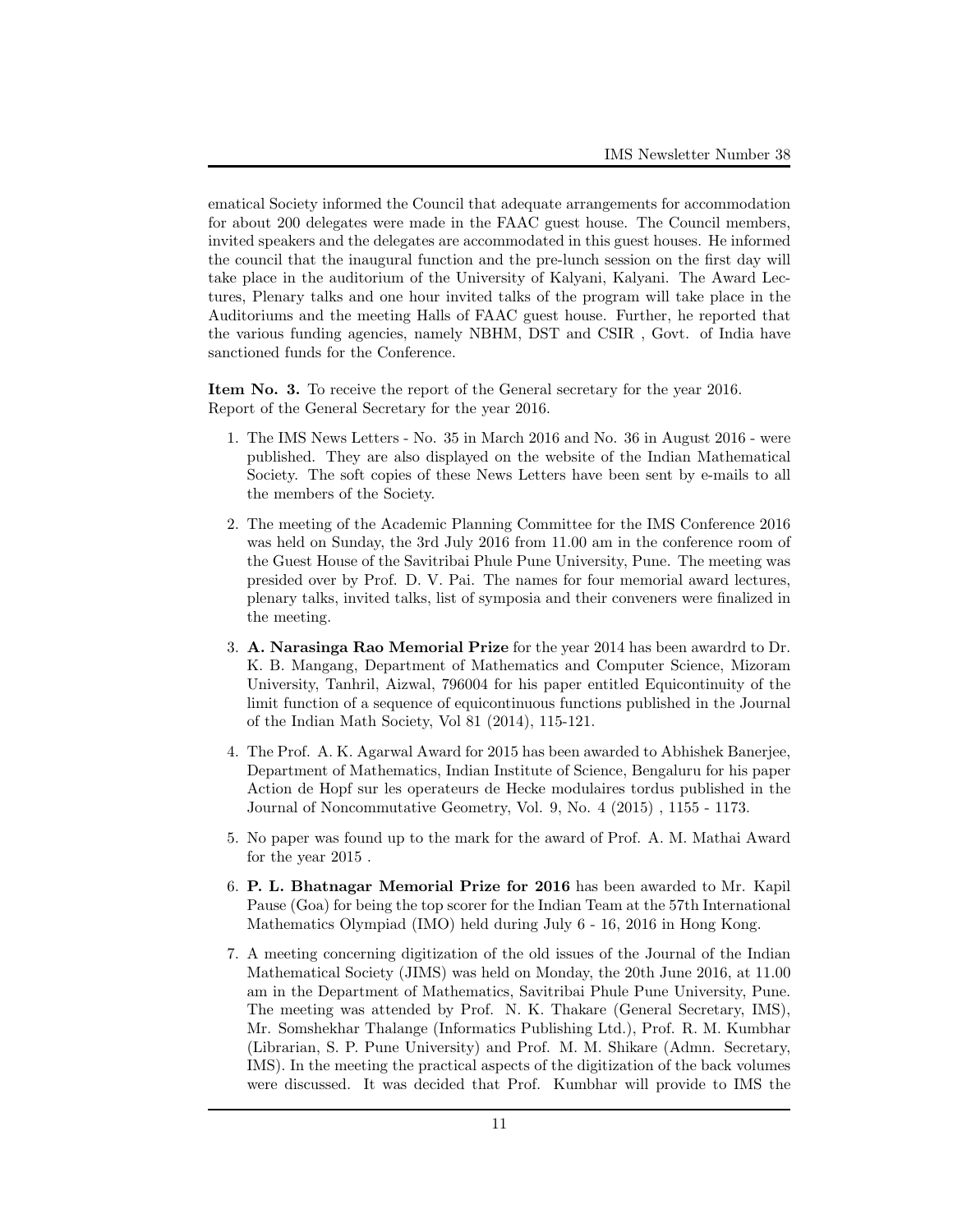ematical Society informed the Council that adequate arrangements for accommodation for about 200 delegates were made in the FAAC guest house. The Council members, invited speakers and the delegates are accommodated in this guest houses. He informed the council that the inaugural function and the pre-lunch session on the first day will take place in the auditorium of the University of Kalyani, Kalyani. The Award Lectures, Plenary talks and one hour invited talks of the program will take place in the Auditoriums and the meeting Halls of FAAC guest house. Further, he reported that the various funding agencies, namely NBHM, DST and CSIR , Govt. of India have sanctioned funds for the Conference.

Item No. 3. To receive the report of the General secretary for the year 2016. Report of the General Secretary for the year 2016.

- 1. The IMS News Letters No. 35 in March 2016 and No. 36 in August 2016 were published. They are also displayed on the website of the Indian Mathematical Society. The soft copies of these News Letters have been sent by e-mails to all the members of the Society.
- 2. The meeting of the Academic Planning Committee for the IMS Conference 2016 was held on Sunday, the 3rd July 2016 from 11.00 am in the conference room of the Guest House of the Savitribai Phule Pune University, Pune. The meeting was presided over by Prof. D. V. Pai. The names for four memorial award lectures, plenary talks, invited talks, list of symposia and their conveners were finalized in the meeting.
- 3. A. Narasinga Rao Memorial Prize for the year 2014 has been awardrd to Dr. K. B. Mangang, Department of Mathematics and Computer Science, Mizoram University, Tanhril, Aizwal, 796004 for his paper entitled Equicontinuity of the limit function of a sequence of equicontinuous functions published in the Journal of the Indian Math Society, Vol 81 (2014), 115-121.
- 4. The Prof. A. K. Agarwal Award for 2015 has been awarded to Abhishek Banerjee, Department of Mathematics, Indian Institute of Science, Bengaluru for his paper Action de Hopf sur les operateurs de Hecke modulaires tordus published in the Journal of Noncommutative Geometry, Vol. 9, No. 4 (2015) , 1155 - 1173.
- 5. No paper was found up to the mark for the award of Prof. A. M. Mathai Award for the year 2015 .
- 6. P. L. Bhatnagar Memorial Prize for 2016 has been awarded to Mr. Kapil Pause (Goa) for being the top scorer for the Indian Team at the 57th International Mathematics Olympiad (IMO) held during July 6 - 16, 2016 in Hong Kong.
- 7. A meeting concerning digitization of the old issues of the Journal of the Indian Mathematical Society (JIMS) was held on Monday, the 20th June 2016, at 11.00 am in the Department of Mathematics, Savitribai Phule Pune University, Pune. The meeting was attended by Prof. N. K. Thakare (General Secretary, IMS), Mr. Somshekhar Thalange (Informatics Publishing Ltd.), Prof. R. M. Kumbhar (Librarian, S. P. Pune University) and Prof. M. M. Shikare (Admn. Secretary, IMS). In the meeting the practical aspects of the digitization of the back volumes were discussed. It was decided that Prof. Kumbhar will provide to IMS the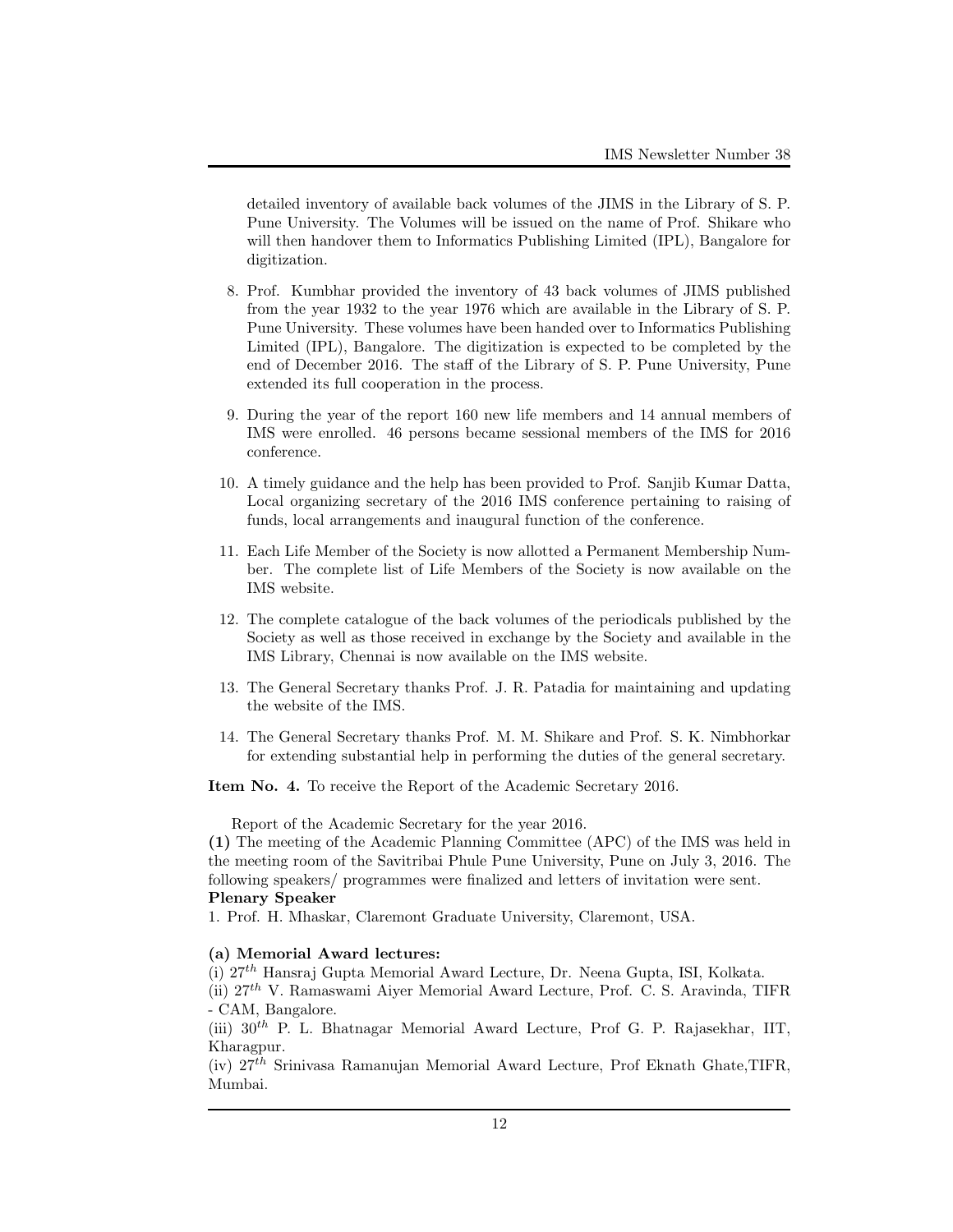detailed inventory of available back volumes of the JIMS in the Library of S. P. Pune University. The Volumes will be issued on the name of Prof. Shikare who will then handover them to Informatics Publishing Limited (IPL), Bangalore for digitization.

- 8. Prof. Kumbhar provided the inventory of 43 back volumes of JIMS published from the year 1932 to the year 1976 which are available in the Library of S. P. Pune University. These volumes have been handed over to Informatics Publishing Limited (IPL), Bangalore. The digitization is expected to be completed by the end of December 2016. The staff of the Library of S. P. Pune University, Pune extended its full cooperation in the process.
- 9. During the year of the report 160 new life members and 14 annual members of IMS were enrolled. 46 persons became sessional members of the IMS for 2016 conference.
- 10. A timely guidance and the help has been provided to Prof. Sanjib Kumar Datta, Local organizing secretary of the 2016 IMS conference pertaining to raising of funds, local arrangements and inaugural function of the conference.
- 11. Each Life Member of the Society is now allotted a Permanent Membership Number. The complete list of Life Members of the Society is now available on the IMS website.
- 12. The complete catalogue of the back volumes of the periodicals published by the Society as well as those received in exchange by the Society and available in the IMS Library, Chennai is now available on the IMS website.
- 13. The General Secretary thanks Prof. J. R. Patadia for maintaining and updating the website of the IMS.
- 14. The General Secretary thanks Prof. M. M. Shikare and Prof. S. K. Nimbhorkar for extending substantial help in performing the duties of the general secretary.

Item No. 4. To receive the Report of the Academic Secretary 2016.

Report of the Academic Secretary for the year 2016.

(1) The meeting of the Academic Planning Committee (APC) of the IMS was held in the meeting room of the Savitribai Phule Pune University, Pune on July 3, 2016. The following speakers/ programmes were finalized and letters of invitation were sent. Plenary Speaker

1. Prof. H. Mhaskar, Claremont Graduate University, Claremont, USA.

# (a) Memorial Award lectures:

(i) 27th Hansraj Gupta Memorial Award Lecture, Dr. Neena Gupta, ISI, Kolkata.

(ii) 27th V. Ramaswami Aiyer Memorial Award Lecture, Prof. C. S. Aravinda, TIFR - CAM, Bangalore.

(iii)  $30<sup>th</sup>$  P. L. Bhatnagar Memorial Award Lecture, Prof G. P. Rajasekhar, IIT, Kharagpur.

 $(iv)$  27<sup>th</sup> Srinivasa Ramanujan Memorial Award Lecture, Prof Eknath Ghate, TIFR, Mumbai.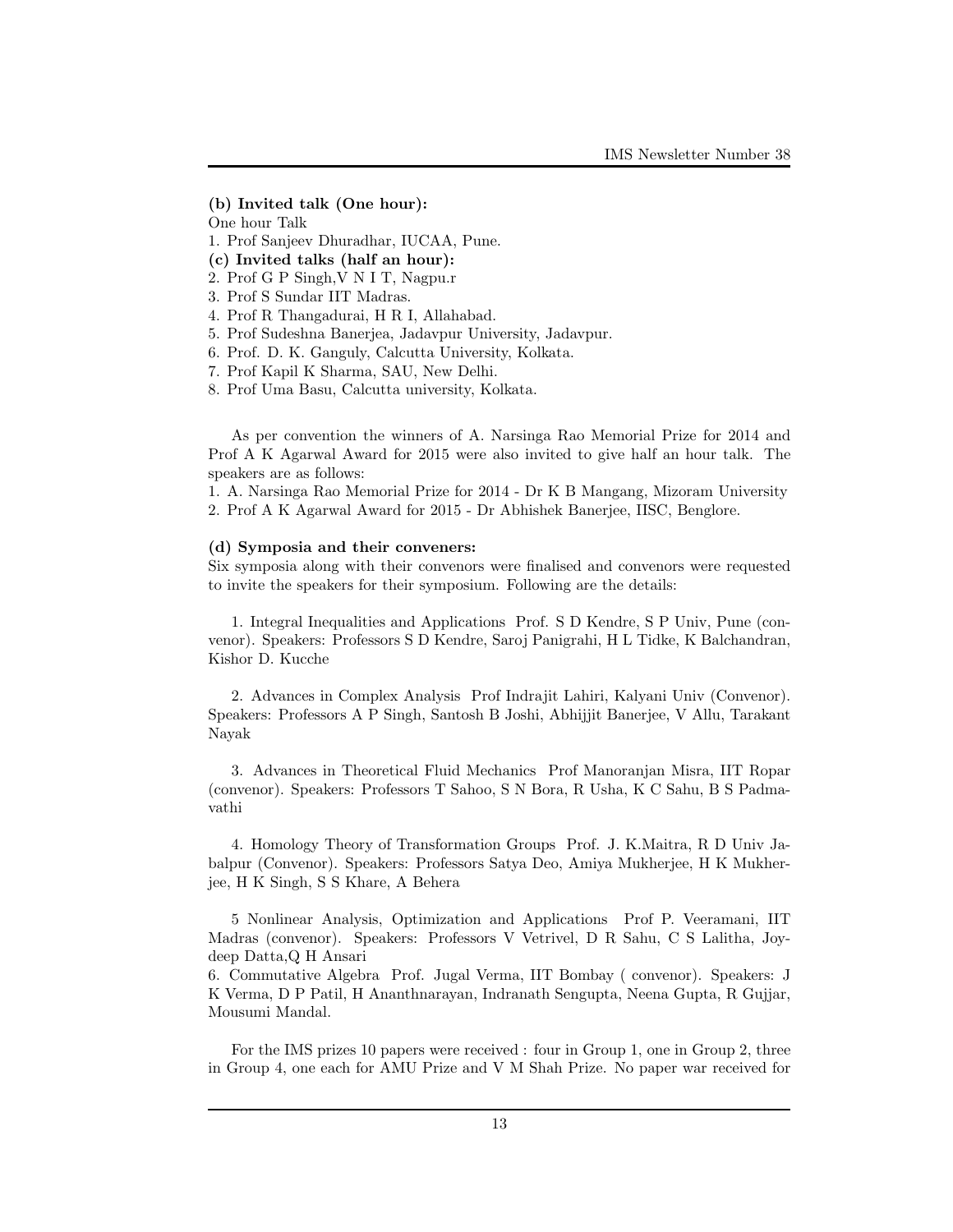### (b) Invited talk (One hour):

One hour Talk

- 1. Prof Sanjeev Dhuradhar, IUCAA, Pune.
- (c) Invited talks (half an hour):
- 2. Prof G P Singh,V N I T, Nagpu.r
- 3. Prof S Sundar IIT Madras.
- 4. Prof R Thangadurai, H R I, Allahabad.
- 5. Prof Sudeshna Banerjea, Jadavpur University, Jadavpur.
- 6. Prof. D. K. Ganguly, Calcutta University, Kolkata.
- 7. Prof Kapil K Sharma, SAU, New Delhi.
- 8. Prof Uma Basu, Calcutta university, Kolkata.

As per convention the winners of A. Narsinga Rao Memorial Prize for 2014 and Prof A K Agarwal Award for 2015 were also invited to give half an hour talk. The speakers are as follows:

1. A. Narsinga Rao Memorial Prize for 2014 - Dr K B Mangang, Mizoram University 2. Prof A K Agarwal Award for 2015 - Dr Abhishek Banerjee, IISC, Benglore.

#### (d) Symposia and their conveners:

Six symposia along with their convenors were finalised and convenors were requested to invite the speakers for their symposium. Following are the details:

1. Integral Inequalities and Applications Prof. S D Kendre, S P Univ, Pune (convenor). Speakers: Professors S D Kendre, Saroj Panigrahi, H L Tidke, K Balchandran, Kishor D. Kucche

2. Advances in Complex Analysis Prof Indrajit Lahiri, Kalyani Univ (Convenor). Speakers: Professors A P Singh, Santosh B Joshi, Abhijjit Banerjee, V Allu, Tarakant Nayak

3. Advances in Theoretical Fluid Mechanics Prof Manoranjan Misra, IIT Ropar (convenor). Speakers: Professors T Sahoo, S N Bora, R Usha, K C Sahu, B S Padmavathi

4. Homology Theory of Transformation Groups Prof. J. K.Maitra, R D Univ Jabalpur (Convenor). Speakers: Professors Satya Deo, Amiya Mukherjee, H K Mukherjee, H K Singh, S S Khare, A Behera

5 Nonlinear Analysis, Optimization and Applications Prof P. Veeramani, IIT Madras (convenor). Speakers: Professors V Vetrivel, D R Sahu, C S Lalitha, Joydeep Datta,Q H Ansari

6. Commutative Algebra Prof. Jugal Verma, IIT Bombay ( convenor). Speakers: J K Verma, D P Patil, H Ananthnarayan, Indranath Sengupta, Neena Gupta, R Gujjar, Mousumi Mandal.

For the IMS prizes 10 papers were received : four in Group 1, one in Group 2, three in Group 4, one each for AMU Prize and V M Shah Prize. No paper war received for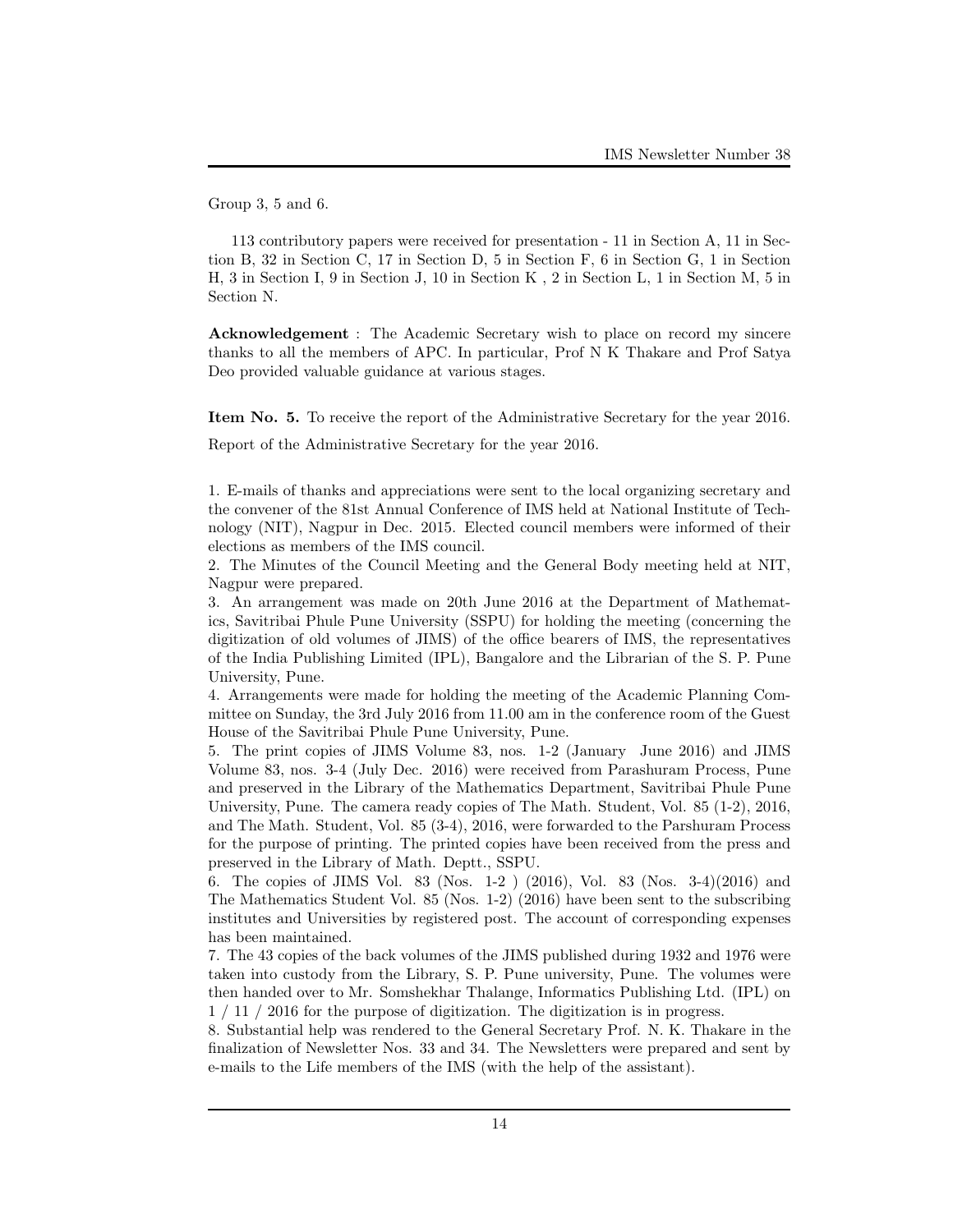Group 3, 5 and 6.

113 contributory papers were received for presentation - 11 in Section A, 11 in Section B, 32 in Section C, 17 in Section D, 5 in Section F, 6 in Section G, 1 in Section H, 3 in Section I, 9 in Section J, 10 in Section K , 2 in Section L, 1 in Section M, 5 in Section N.

Acknowledgement : The Academic Secretary wish to place on record my sincere thanks to all the members of APC. In particular, Prof N K Thakare and Prof Satya Deo provided valuable guidance at various stages.

Item No. 5. To receive the report of the Administrative Secretary for the year 2016.

Report of the Administrative Secretary for the year 2016.

1. E-mails of thanks and appreciations were sent to the local organizing secretary and the convener of the 81st Annual Conference of IMS held at National Institute of Technology (NIT), Nagpur in Dec. 2015. Elected council members were informed of their elections as members of the IMS council.

2. The Minutes of the Council Meeting and the General Body meeting held at NIT, Nagpur were prepared.

3. An arrangement was made on 20th June 2016 at the Department of Mathematics, Savitribai Phule Pune University (SSPU) for holding the meeting (concerning the digitization of old volumes of JIMS) of the office bearers of IMS, the representatives of the India Publishing Limited (IPL), Bangalore and the Librarian of the S. P. Pune University, Pune.

4. Arrangements were made for holding the meeting of the Academic Planning Committee on Sunday, the 3rd July 2016 from 11.00 am in the conference room of the Guest House of the Savitribai Phule Pune University, Pune.

5. The print copies of JIMS Volume 83, nos. 1-2 (January June 2016) and JIMS Volume 83, nos. 3-4 (July Dec. 2016) were received from Parashuram Process, Pune and preserved in the Library of the Mathematics Department, Savitribai Phule Pune University, Pune. The camera ready copies of The Math. Student, Vol. 85 (1-2), 2016, and The Math. Student, Vol. 85 (3-4), 2016, were forwarded to the Parshuram Process for the purpose of printing. The printed copies have been received from the press and preserved in the Library of Math. Deptt., SSPU.

6. The copies of JIMS Vol. 83 (Nos. 1-2 ) (2016), Vol. 83 (Nos. 3-4)(2016) and The Mathematics Student Vol. 85 (Nos. 1-2) (2016) have been sent to the subscribing institutes and Universities by registered post. The account of corresponding expenses has been maintained.

7. The 43 copies of the back volumes of the JIMS published during 1932 and 1976 were taken into custody from the Library, S. P. Pune university, Pune. The volumes were then handed over to Mr. Somshekhar Thalange, Informatics Publishing Ltd. (IPL) on 1 / 11 / 2016 for the purpose of digitization. The digitization is in progress.

8. Substantial help was rendered to the General Secretary Prof. N. K. Thakare in the finalization of Newsletter Nos. 33 and 34. The Newsletters were prepared and sent by e-mails to the Life members of the IMS (with the help of the assistant).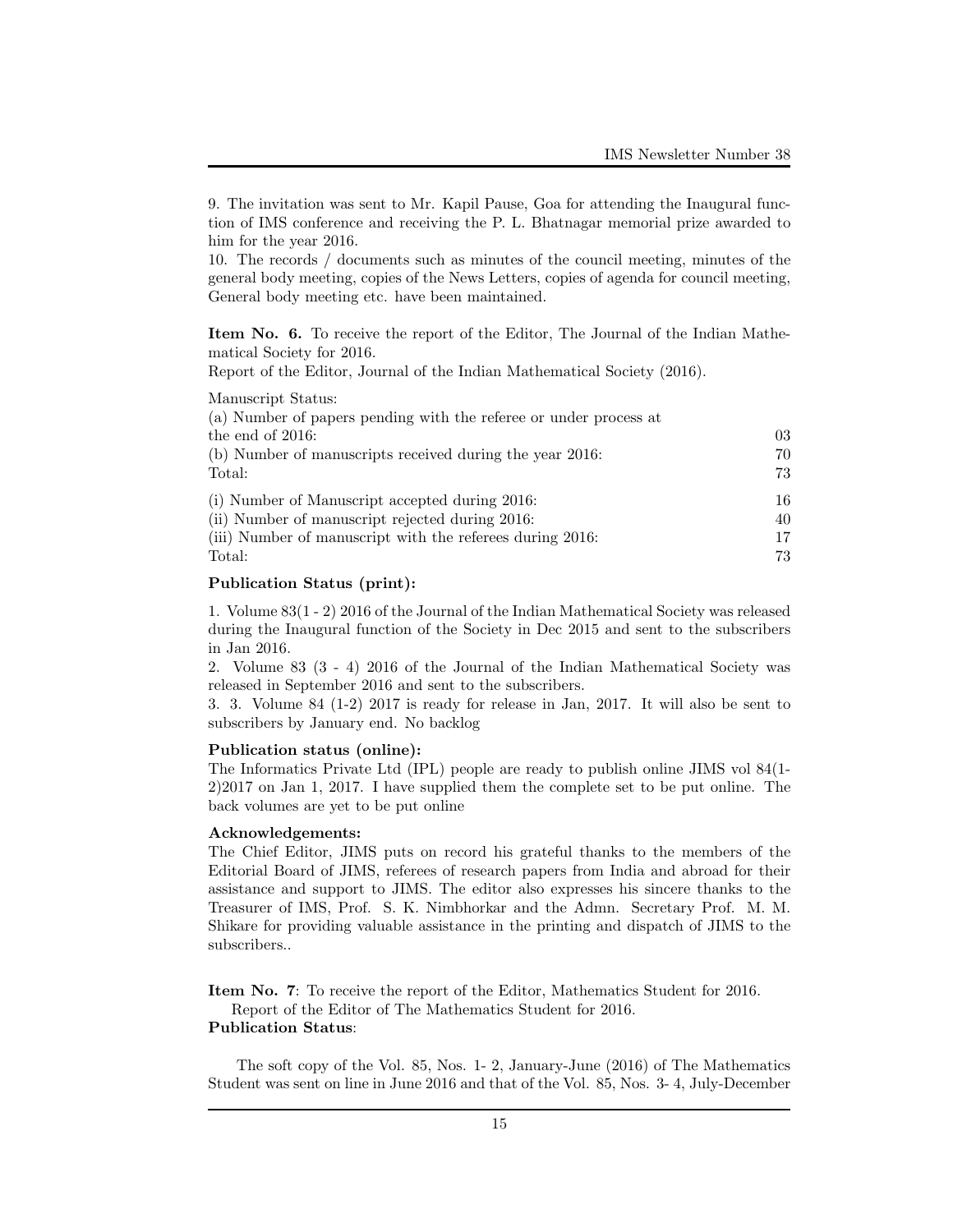9. The invitation was sent to Mr. Kapil Pause, Goa for attending the Inaugural function of IMS conference and receiving the P. L. Bhatnagar memorial prize awarded to him for the year 2016.

10. The records / documents such as minutes of the council meeting, minutes of the general body meeting, copies of the News Letters, copies of agenda for council meeting, General body meeting etc. have been maintained.

Item No. 6. To receive the report of the Editor, The Journal of the Indian Mathematical Society for 2016.

Report of the Editor, Journal of the Indian Mathematical Society (2016).

Manuscript Status:

| (a) Number of papers pending with the referee or under process at |     |
|-------------------------------------------------------------------|-----|
| the end of $2016$ :                                               | 03  |
| (b) Number of manuscripts received during the year 2016:          | 70  |
| Total:                                                            | 73  |
| (i) Number of Manuscript accepted during 2016:                    | 16. |
| (ii) Number of manuscript rejected during 2016:                   | 40  |
| (iii) Number of manuscript with the referees during 2016:         | 17  |
| Total:                                                            | 73  |
|                                                                   |     |

# Publication Status (print):

1. Volume 83(1 - 2) 2016 of the Journal of the Indian Mathematical Society was released during the Inaugural function of the Society in Dec 2015 and sent to the subscribers in Jan 2016.

2. Volume 83 (3 - 4) 2016 of the Journal of the Indian Mathematical Society was released in September 2016 and sent to the subscribers.

3. 3. Volume 84 (1-2) 2017 is ready for release in Jan, 2017. It will also be sent to subscribers by January end. No backlog

#### Publication status (online):

The Informatics Private Ltd (IPL) people are ready to publish online JIMS vol 84(1- 2)2017 on Jan 1, 2017. I have supplied them the complete set to be put online. The back volumes are yet to be put online

### Acknowledgements:

The Chief Editor, JIMS puts on record his grateful thanks to the members of the Editorial Board of JIMS, referees of research papers from India and abroad for their assistance and support to JIMS. The editor also expresses his sincere thanks to the Treasurer of IMS, Prof. S. K. Nimbhorkar and the Admn. Secretary Prof. M. M. Shikare for providing valuable assistance in the printing and dispatch of JIMS to the subscribers..

Item No. 7: To receive the report of the Editor, Mathematics Student for 2016. Report of the Editor of The Mathematics Student for 2016.

# Publication Status:

The soft copy of the Vol. 85, Nos. 1- 2, January-June (2016) of The Mathematics Student was sent on line in June 2016 and that of the Vol. 85, Nos. 3- 4, July-December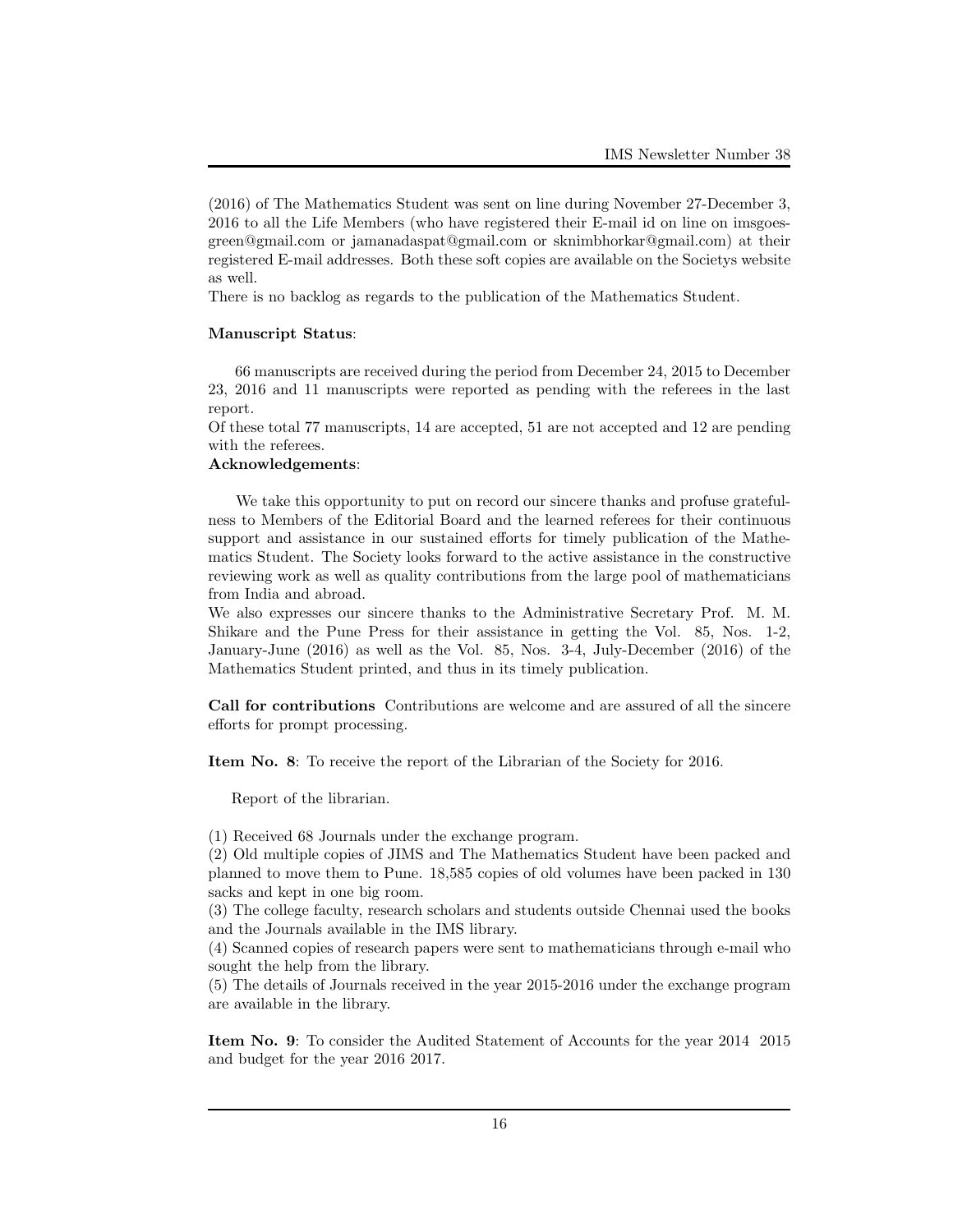(2016) of The Mathematics Student was sent on line during November 27-December 3, 2016 to all the Life Members (who have registered their E-mail id on line on imsgoesgreen@gmail.com or jamanadaspat@gmail.com or sknimbhorkar@gmail.com) at their registered E-mail addresses. Both these soft copies are available on the Societys website as well.

There is no backlog as regards to the publication of the Mathematics Student.

#### Manuscript Status:

66 manuscripts are received during the period from December 24, 2015 to December 23, 2016 and 11 manuscripts were reported as pending with the referees in the last report.

Of these total 77 manuscripts, 14 are accepted, 51 are not accepted and 12 are pending with the referees.

# Acknowledgements:

We take this opportunity to put on record our sincere thanks and profuse gratefulness to Members of the Editorial Board and the learned referees for their continuous support and assistance in our sustained efforts for timely publication of the Mathematics Student. The Society looks forward to the active assistance in the constructive reviewing work as well as quality contributions from the large pool of mathematicians from India and abroad.

We also expresses our sincere thanks to the Administrative Secretary Prof. M. M. Shikare and the Pune Press for their assistance in getting the Vol. 85, Nos. 1-2, January-June (2016) as well as the Vol. 85, Nos. 3-4, July-December (2016) of the Mathematics Student printed, and thus in its timely publication.

Call for contributions Contributions are welcome and are assured of all the sincere efforts for prompt processing.

Item No. 8: To receive the report of the Librarian of the Society for 2016.

Report of the librarian.

(1) Received 68 Journals under the exchange program.

(2) Old multiple copies of JIMS and The Mathematics Student have been packed and planned to move them to Pune. 18,585 copies of old volumes have been packed in 130 sacks and kept in one big room.

(3) The college faculty, research scholars and students outside Chennai used the books and the Journals available in the IMS library.

(4) Scanned copies of research papers were sent to mathematicians through e-mail who sought the help from the library.

(5) The details of Journals received in the year 2015-2016 under the exchange program are available in the library.

Item No. 9: To consider the Audited Statement of Accounts for the year 2014 2015 and budget for the year 2016 2017.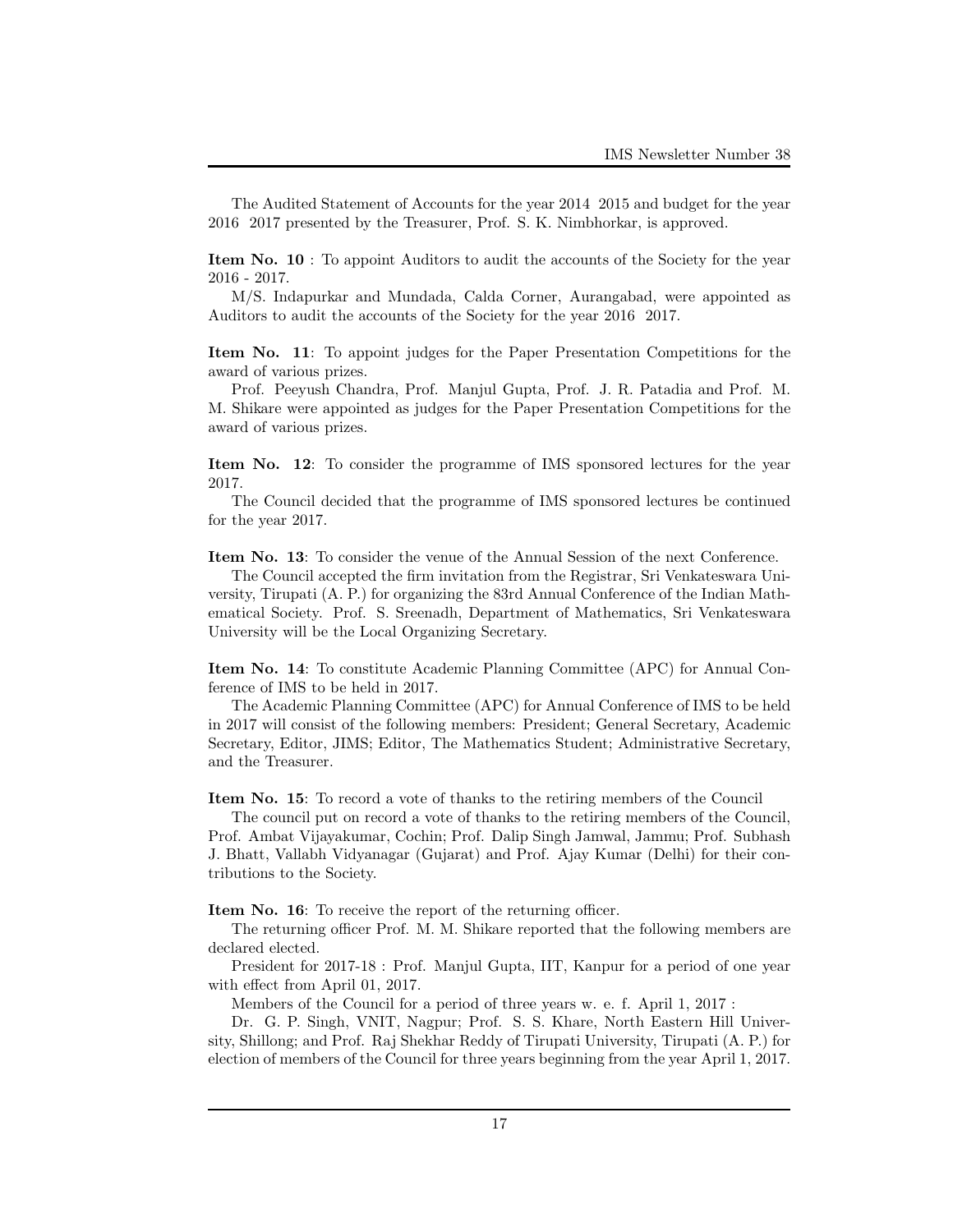The Audited Statement of Accounts for the year 2014 2015 and budget for the year 2016 2017 presented by the Treasurer, Prof. S. K. Nimbhorkar, is approved.

Item No. 10 : To appoint Auditors to audit the accounts of the Society for the year 2016 - 2017.

M/S. Indapurkar and Mundada, Calda Corner, Aurangabad, were appointed as Auditors to audit the accounts of the Society for the year 2016 2017.

Item No. 11: To appoint judges for the Paper Presentation Competitions for the award of various prizes.

Prof. Peeyush Chandra, Prof. Manjul Gupta, Prof. J. R. Patadia and Prof. M. M. Shikare were appointed as judges for the Paper Presentation Competitions for the award of various prizes.

Item No. 12: To consider the programme of IMS sponsored lectures for the year 2017.

The Council decided that the programme of IMS sponsored lectures be continued for the year 2017.

Item No. 13: To consider the venue of the Annual Session of the next Conference.

The Council accepted the firm invitation from the Registrar, Sri Venkateswara University, Tirupati (A. P.) for organizing the 83rd Annual Conference of the Indian Mathematical Society. Prof. S. Sreenadh, Department of Mathematics, Sri Venkateswara University will be the Local Organizing Secretary.

Item No. 14: To constitute Academic Planning Committee (APC) for Annual Conference of IMS to be held in 2017.

The Academic Planning Committee (APC) for Annual Conference of IMS to be held in 2017 will consist of the following members: President; General Secretary, Academic Secretary, Editor, JIMS; Editor, The Mathematics Student; Administrative Secretary, and the Treasurer.

Item No. 15: To record a vote of thanks to the retiring members of the Council

The council put on record a vote of thanks to the retiring members of the Council, Prof. Ambat Vijayakumar, Cochin; Prof. Dalip Singh Jamwal, Jammu; Prof. Subhash J. Bhatt, Vallabh Vidyanagar (Gujarat) and Prof. Ajay Kumar (Delhi) for their contributions to the Society.

Item No. 16: To receive the report of the returning officer.

The returning officer Prof. M. M. Shikare reported that the following members are declared elected.

President for 2017-18 : Prof. Manjul Gupta, IIT, Kanpur for a period of one year with effect from April 01, 2017.

Members of the Council for a period of three years w. e. f. April 1, 2017 :

Dr. G. P. Singh, VNIT, Nagpur; Prof. S. S. Khare, North Eastern Hill University, Shillong; and Prof. Raj Shekhar Reddy of Tirupati University, Tirupati (A. P.) for election of members of the Council for three years beginning from the year April 1, 2017.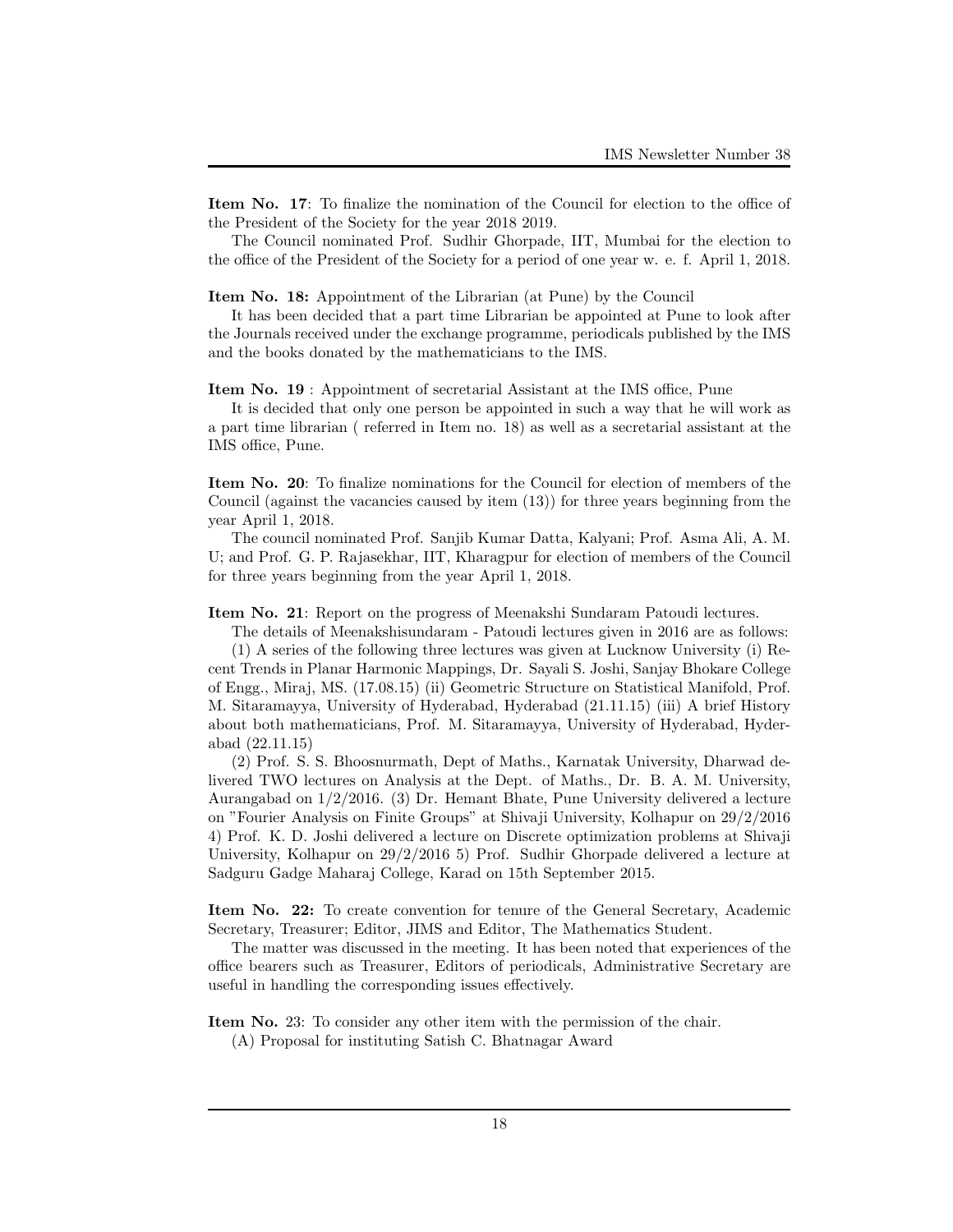Item No. 17: To finalize the nomination of the Council for election to the office of the President of the Society for the year 2018 2019.

The Council nominated Prof. Sudhir Ghorpade, IIT, Mumbai for the election to the office of the President of the Society for a period of one year w. e. f. April 1, 2018.

Item No. 18: Appointment of the Librarian (at Pune) by the Council

It has been decided that a part time Librarian be appointed at Pune to look after the Journals received under the exchange programme, periodicals published by the IMS and the books donated by the mathematicians to the IMS.

Item No. 19 : Appointment of secretarial Assistant at the IMS office, Pune

It is decided that only one person be appointed in such a way that he will work as a part time librarian ( referred in Item no. 18) as well as a secretarial assistant at the IMS office, Pune.

Item No. 20: To finalize nominations for the Council for election of members of the Council (against the vacancies caused by item (13)) for three years beginning from the year April 1, 2018.

The council nominated Prof. Sanjib Kumar Datta, Kalyani; Prof. Asma Ali, A. M. U; and Prof. G. P. Rajasekhar, IIT, Kharagpur for election of members of the Council for three years beginning from the year April 1, 2018.

Item No. 21: Report on the progress of Meenakshi Sundaram Patoudi lectures.

The details of Meenakshisundaram - Patoudi lectures given in 2016 are as follows:

(1) A series of the following three lectures was given at Lucknow University (i) Recent Trends in Planar Harmonic Mappings, Dr. Sayali S. Joshi, Sanjay Bhokare College of Engg., Miraj, MS. (17.08.15) (ii) Geometric Structure on Statistical Manifold, Prof. M. Sitaramayya, University of Hyderabad, Hyderabad (21.11.15) (iii) A brief History about both mathematicians, Prof. M. Sitaramayya, University of Hyderabad, Hyderabad (22.11.15)

(2) Prof. S. S. Bhoosnurmath, Dept of Maths., Karnatak University, Dharwad delivered TWO lectures on Analysis at the Dept. of Maths., Dr. B. A. M. University, Aurangabad on 1/2/2016. (3) Dr. Hemant Bhate, Pune University delivered a lecture on "Fourier Analysis on Finite Groups" at Shivaji University, Kolhapur on 29/2/2016 4) Prof. K. D. Joshi delivered a lecture on Discrete optimization problems at Shivaji University, Kolhapur on 29/2/2016 5) Prof. Sudhir Ghorpade delivered a lecture at Sadguru Gadge Maharaj College, Karad on 15th September 2015.

Item No. 22: To create convention for tenure of the General Secretary, Academic Secretary, Treasurer; Editor, JIMS and Editor, The Mathematics Student.

The matter was discussed in the meeting. It has been noted that experiences of the office bearers such as Treasurer, Editors of periodicals, Administrative Secretary are useful in handling the corresponding issues effectively.

Item No. 23: To consider any other item with the permission of the chair.

(A) Proposal for instituting Satish C. Bhatnagar Award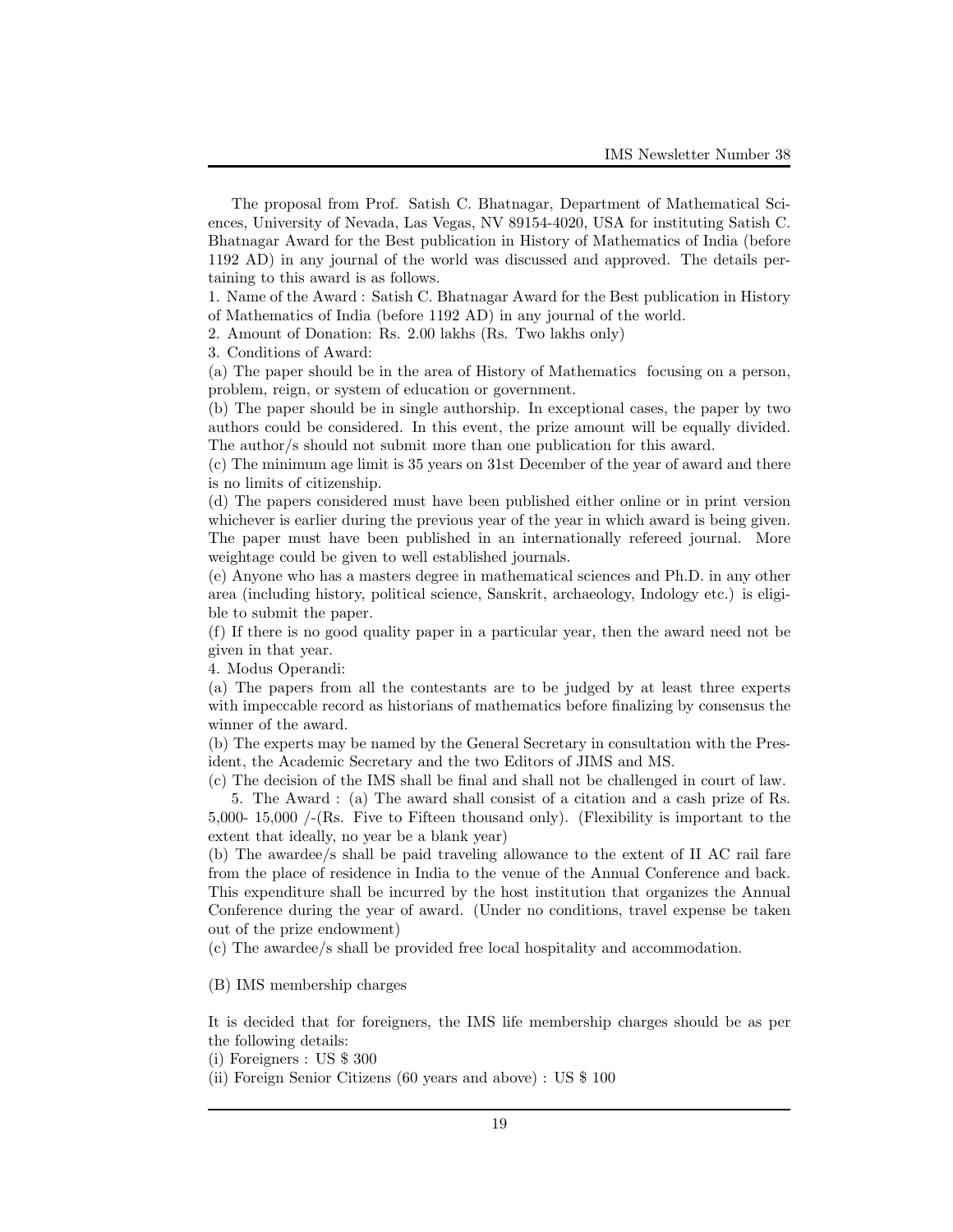The proposal from Prof. Satish C. Bhatnagar, Department of Mathematical Sciences, University of Nevada, Las Vegas, NV 89154-4020, USA for instituting Satish C. Bhatnagar Award for the Best publication in History of Mathematics of India (before 1192 AD) in any journal of the world was discussed and approved. The details pertaining to this award is as follows.

1. Name of the Award : Satish C. Bhatnagar Award for the Best publication in History of Mathematics of India (before 1192 AD) in any journal of the world.

2. Amount of Donation: Rs. 2.00 lakhs (Rs. Two lakhs only)

3. Conditions of Award:

(a) The paper should be in the area of History of Mathematics focusing on a person, problem, reign, or system of education or government.

(b) The paper should be in single authorship. In exceptional cases, the paper by two authors could be considered. In this event, the prize amount will be equally divided. The author/s should not submit more than one publication for this award.

(c) The minimum age limit is 35 years on 31st December of the year of award and there is no limits of citizenship.

(d) The papers considered must have been published either online or in print version whichever is earlier during the previous year of the year in which award is being given. The paper must have been published in an internationally refereed journal. More weightage could be given to well established journals.

(e) Anyone who has a masters degree in mathematical sciences and Ph.D. in any other area (including history, political science, Sanskrit, archaeology, Indology etc.) is eligible to submit the paper.

(f) If there is no good quality paper in a particular year, then the award need not be given in that year.

4. Modus Operandi:

(a) The papers from all the contestants are to be judged by at least three experts with impeccable record as historians of mathematics before finalizing by consensus the winner of the award.

(b) The experts may be named by the General Secretary in consultation with the President, the Academic Secretary and the two Editors of JIMS and MS.

(c) The decision of the IMS shall be final and shall not be challenged in court of law.

5. The Award : (a) The award shall consist of a citation and a cash prize of Rs. 5,000- 15,000 /-(Rs. Five to Fifteen thousand only). (Flexibility is important to the extent that ideally, no year be a blank year)

(b) The awardee/s shall be paid traveling allowance to the extent of II AC rail fare from the place of residence in India to the venue of the Annual Conference and back. This expenditure shall be incurred by the host institution that organizes the Annual Conference during the year of award. (Under no conditions, travel expense be taken out of the prize endowment)

(c) The awardee/s shall be provided free local hospitality and accommodation.

(B) IMS membership charges

It is decided that for foreigners, the IMS life membership charges should be as per the following details:

(i) Foreigners : US \$ 300

(ii) Foreign Senior Citizens (60 years and above) : US \$ 100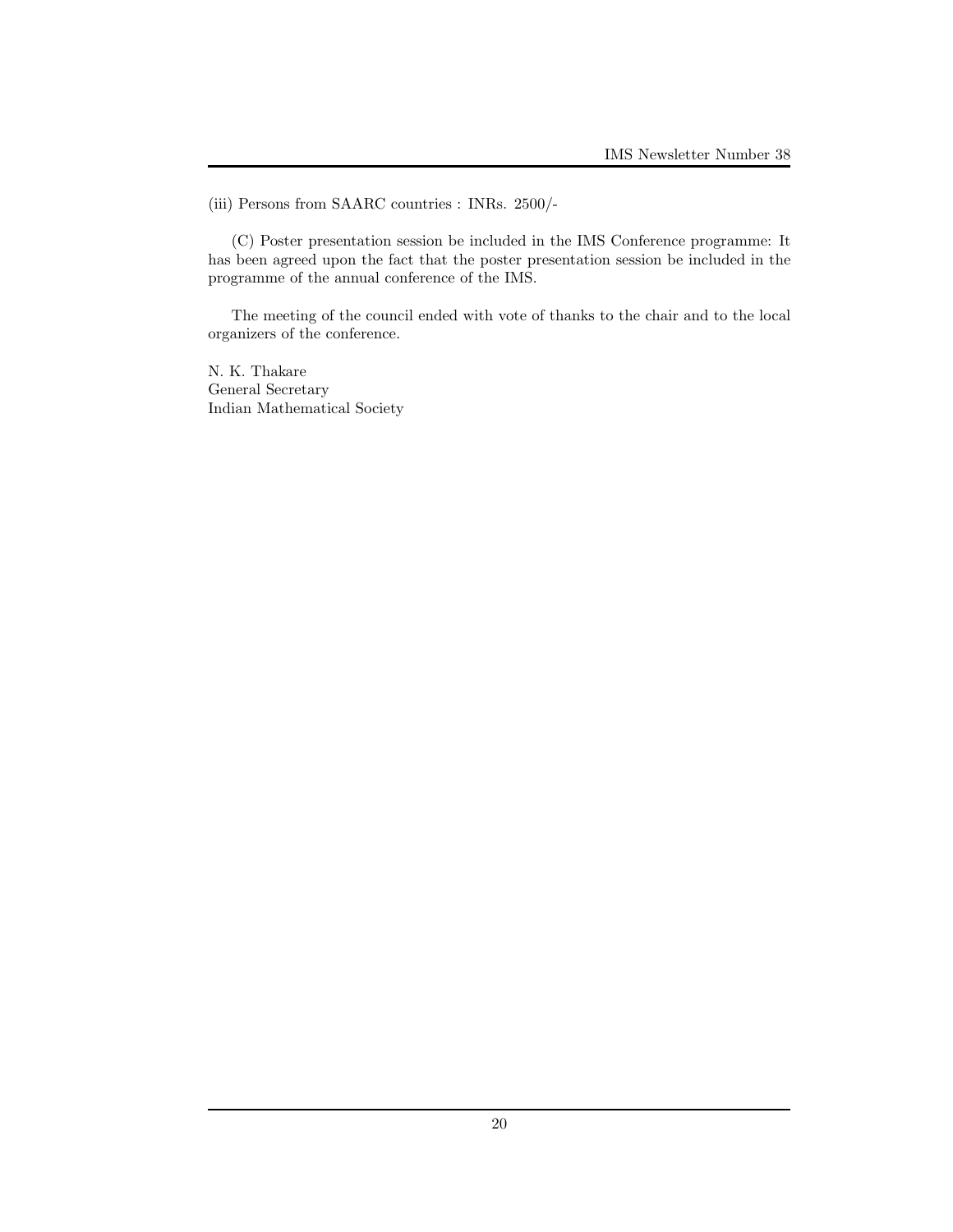(iii) Persons from SAARC countries : INRs. 2500/-

(C) Poster presentation session be included in the IMS Conference programme: It has been agreed upon the fact that the poster presentation session be included in the programme of the annual conference of the IMS.

The meeting of the council ended with vote of thanks to the chair and to the local organizers of the conference.

N. K. Thakare General Secretary Indian Mathematical Society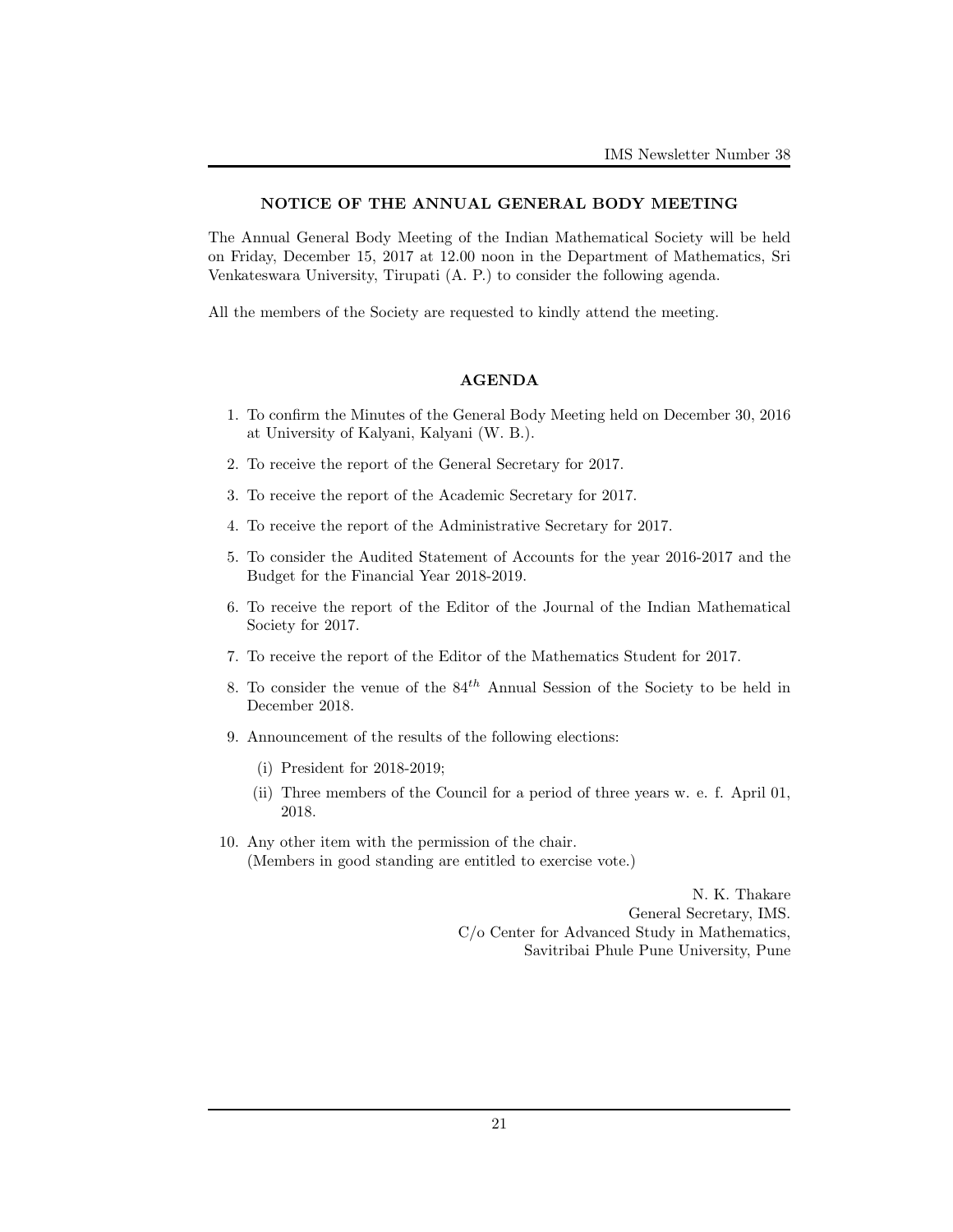### NOTICE OF THE ANNUAL GENERAL BODY MEETING

The Annual General Body Meeting of the Indian Mathematical Society will be held on Friday, December 15, 2017 at 12.00 noon in the Department of Mathematics, Sri Venkateswara University, Tirupati (A. P.) to consider the following agenda.

All the members of the Society are requested to kindly attend the meeting.

### AGENDA

- 1. To confirm the Minutes of the General Body Meeting held on December 30, 2016 at University of Kalyani, Kalyani (W. B.).
- 2. To receive the report of the General Secretary for 2017.
- 3. To receive the report of the Academic Secretary for 2017.
- 4. To receive the report of the Administrative Secretary for 2017.
- 5. To consider the Audited Statement of Accounts for the year 2016-2017 and the Budget for the Financial Year 2018-2019.
- 6. To receive the report of the Editor of the Journal of the Indian Mathematical Society for 2017.
- 7. To receive the report of the Editor of the Mathematics Student for 2017.
- 8. To consider the venue of the  $84<sup>th</sup>$  Annual Session of the Society to be held in December 2018.
- 9. Announcement of the results of the following elections:
	- (i) President for 2018-2019;
	- (ii) Three members of the Council for a period of three years w. e. f. April 01, 2018.
- 10. Any other item with the permission of the chair. (Members in good standing are entitled to exercise vote.)

N. K. Thakare General Secretary, IMS. C/o Center for Advanced Study in Mathematics, Savitribai Phule Pune University, Pune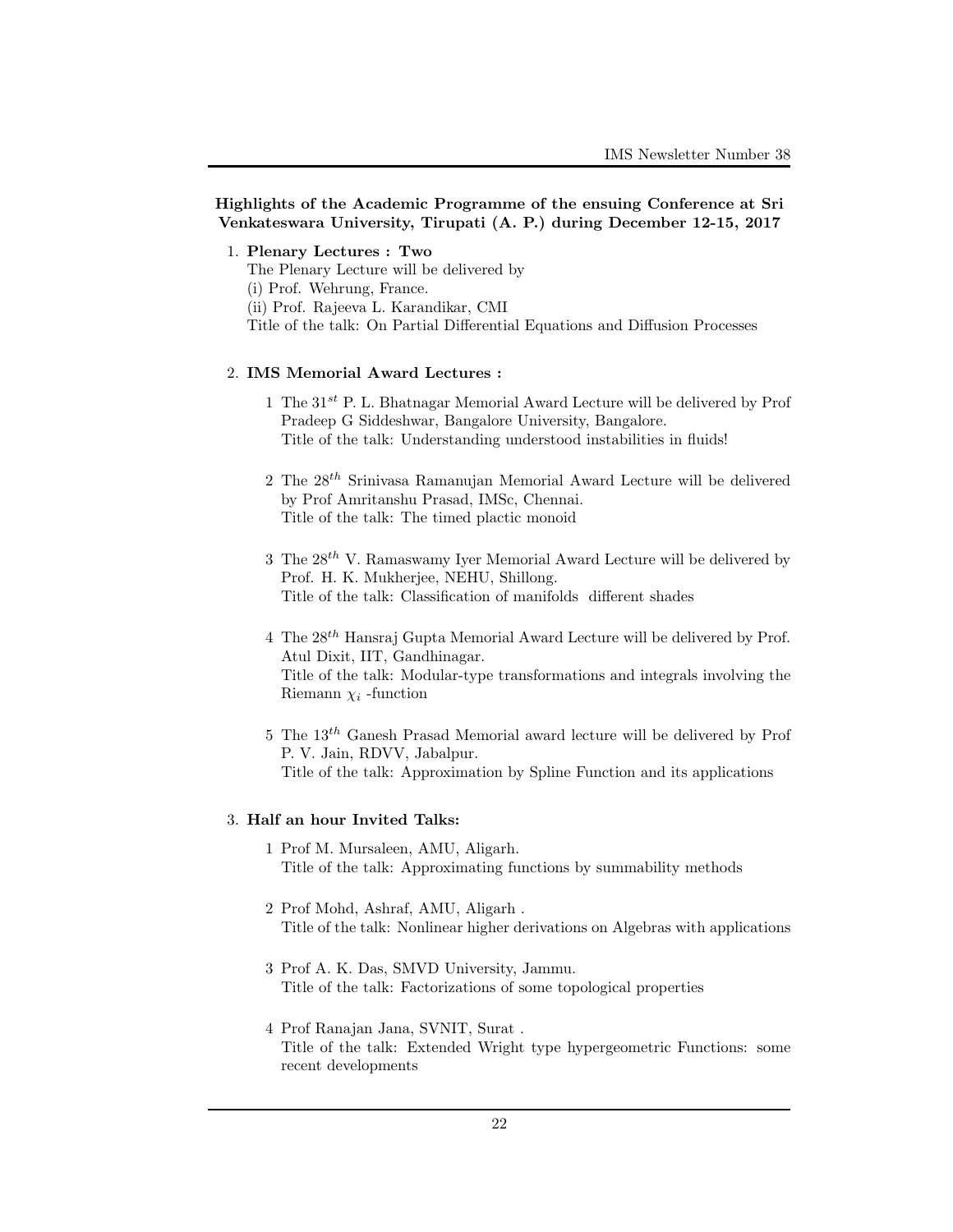# Highlights of the Academic Programme of the ensuing Conference at Sri Venkateswara University, Tirupati (A. P.) during December 12-15, 2017

1. Plenary Lectures : Two

The Plenary Lecture will be delivered by

(i) Prof. Wehrung, France.

(ii) Prof. Rajeeva L. Karandikar, CMI

Title of the talk: On Partial Differential Equations and Diffusion Processes

### 2. IMS Memorial Award Lectures :

- 1 The  $31^{st}$  P. L. Bhatnagar Memorial Award Lecture will be delivered by Prof Pradeep G Siddeshwar, Bangalore University, Bangalore. Title of the talk: Understanding understood instabilities in fluids!
- 2 The  $28^{th}$  Srinivasa Ramanujan Memorial Award Lecture will be delivered by Prof Amritanshu Prasad, IMSc, Chennai. Title of the talk: The timed plactic monoid
- 3 The  $28^{th}$  V. Ramaswamy Iyer Memorial Award Lecture will be delivered by Prof. H. K. Mukherjee, NEHU, Shillong. Title of the talk: Classification of manifolds different shades
- 4 The  $28^{th}$  Hansraj Gupta Memorial Award Lecture will be delivered by Prof. Atul Dixit, IIT, Gandhinagar. Title of the talk: Modular-type transformations and integrals involving the Riemann  $\chi_i$ -function
- 5 The 13th Ganesh Prasad Memorial award lecture will be delivered by Prof P. V. Jain, RDVV, Jabalpur. Title of the talk: Approximation by Spline Function and its applications

### 3. Half an hour Invited Talks:

- 1 Prof M. Mursaleen, AMU, Aligarh. Title of the talk: Approximating functions by summability methods
- 2 Prof Mohd, Ashraf, AMU, Aligarh . Title of the talk: Nonlinear higher derivations on Algebras with applications
- 3 Prof A. K. Das, SMVD University, Jammu. Title of the talk: Factorizations of some topological properties
- 4 Prof Ranajan Jana, SVNIT, Surat . Title of the talk: Extended Wright type hypergeometric Functions: some recent developments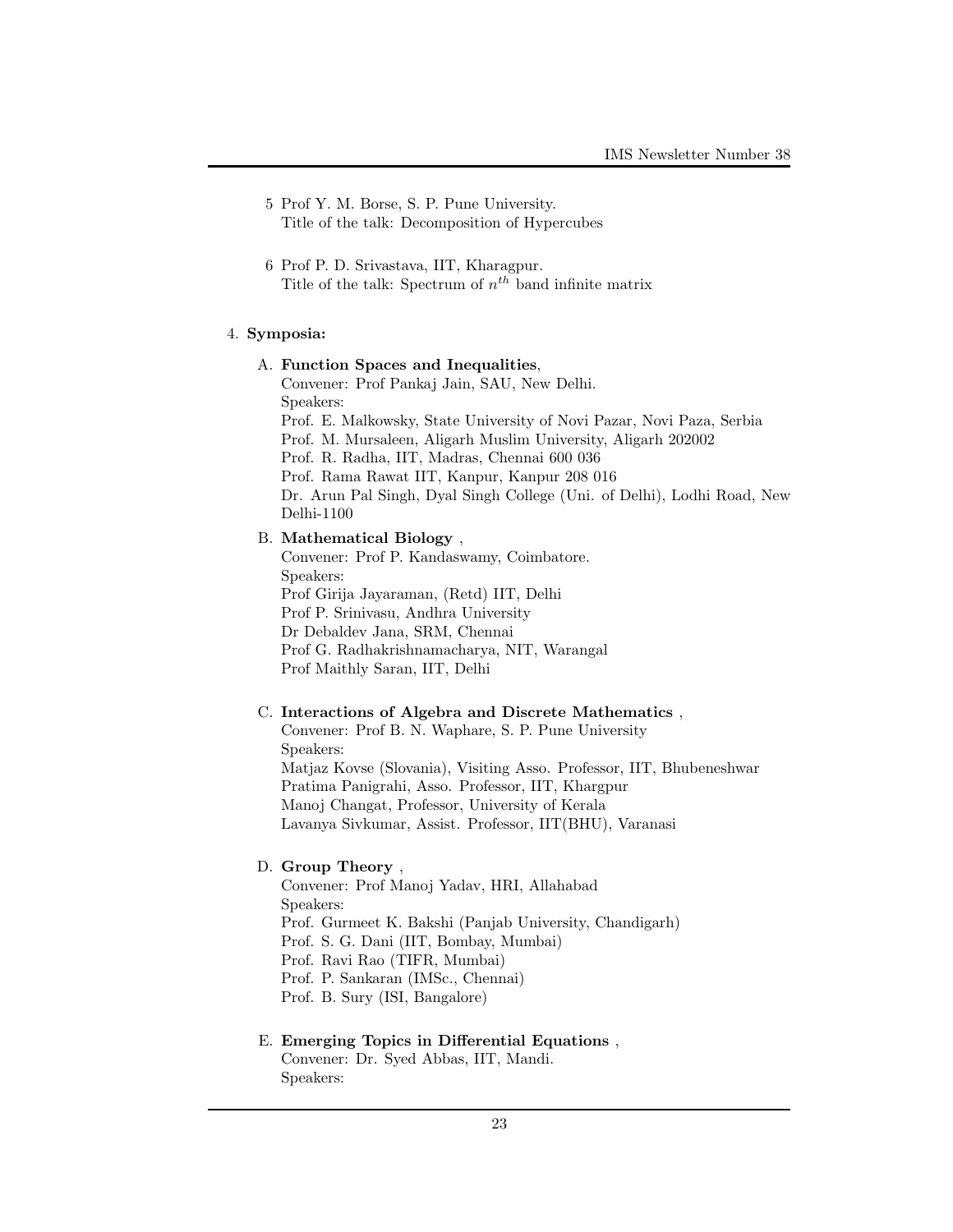- 5 Prof Y. M. Borse, S. P. Pune University. Title of the talk: Decomposition of Hypercubes
- 6 Prof P. D. Srivastava, IIT, Kharagpur. Title of the talk: Spectrum of  $n^{th}$  band infinite matrix

# 4. Symposia:

#### A. Function Spaces and Inequalities,

Convener: Prof Pankaj Jain, SAU, New Delhi. Speakers: Prof. E. Malkowsky, State University of Novi Pazar, Novi Paza, Serbia Prof. M. Mursaleen, Aligarh Muslim University, Aligarh 202002 Prof. R. Radha, IIT, Madras, Chennai 600 036 Prof. Rama Rawat IIT, Kanpur, Kanpur 208 016 Dr. Arun Pal Singh, Dyal Singh College (Uni. of Delhi), Lodhi Road, New Delhi-1100

# B. Mathematical Biology ,

Convener: Prof P. Kandaswamy, Coimbatore. Speakers: Prof Girija Jayaraman, (Retd) IIT, Delhi Prof P. Srinivasu, Andhra University Dr Debaldev Jana, SRM, Chennai Prof G. Radhakrishnamacharya, NIT, Warangal Prof Maithly Saran, IIT, Delhi

#### C. Interactions of Algebra and Discrete Mathematics ,

Convener: Prof B. N. Waphare, S. P. Pune University Speakers: Matjaz Kovse (Slovania), Visiting Asso. Professor, IIT, Bhubeneshwar Pratima Panigrahi, Asso. Professor, IIT, Khargpur Manoj Changat, Professor, University of Kerala Lavanya Sivkumar, Assist. Professor, IIT(BHU), Varanasi

# D. Group Theory ,

Convener: Prof Manoj Yadav, HRI, Allahabad Speakers: Prof. Gurmeet K. Bakshi (Panjab University, Chandigarh) Prof. S. G. Dani (IIT, Bombay, Mumbai) Prof. Ravi Rao (TIFR, Mumbai) Prof. P. Sankaran (IMSc., Chennai) Prof. B. Sury (ISI, Bangalore)

# E. Emerging Topics in Differential Equations , Convener: Dr. Syed Abbas, IIT, Mandi. Speakers: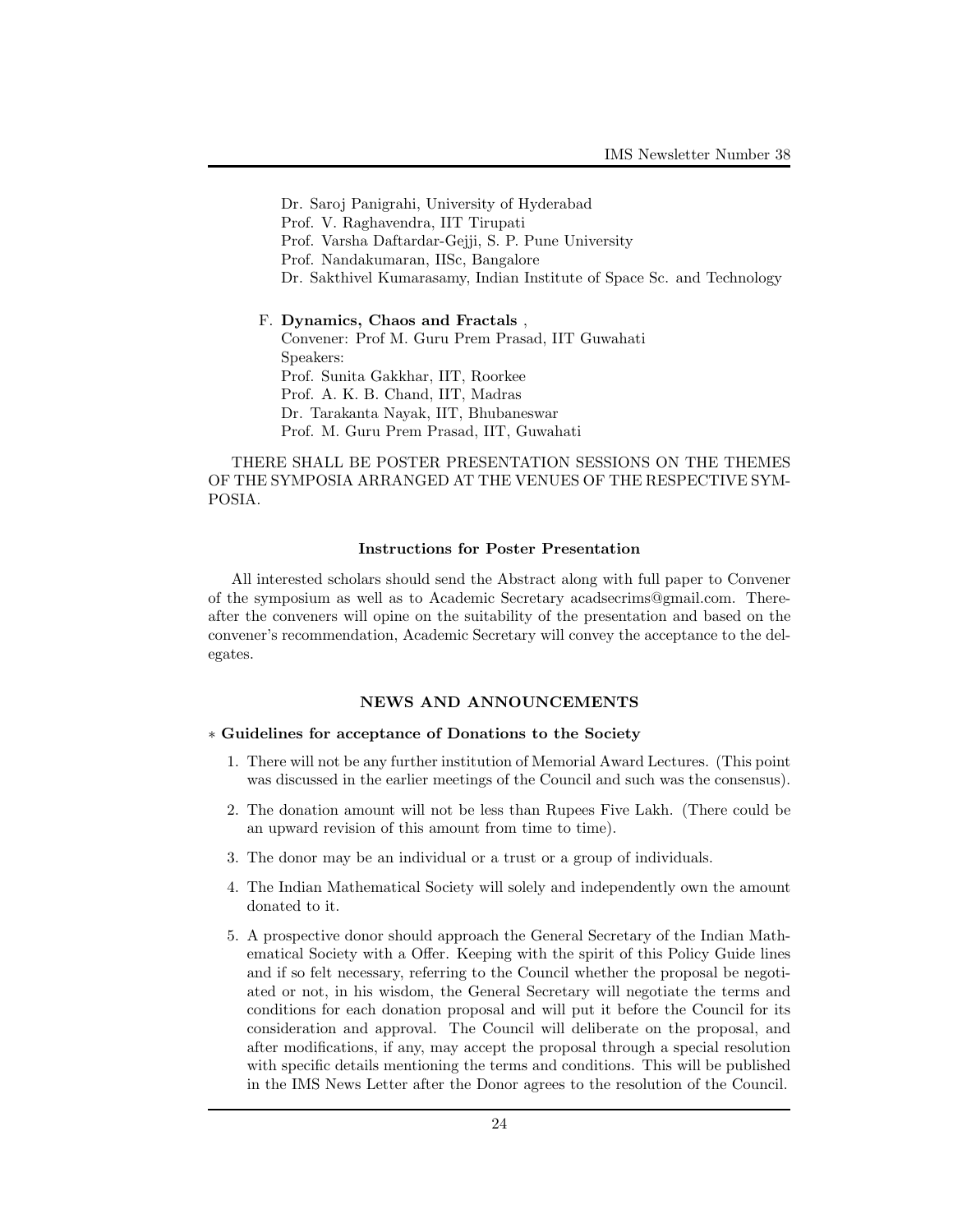Dr. Saroj Panigrahi, University of Hyderabad Prof. V. Raghavendra, IIT Tirupati Prof. Varsha Daftardar-Gejji, S. P. Pune University Prof. Nandakumaran, IISc, Bangalore Dr. Sakthivel Kumarasamy, Indian Institute of Space Sc. and Technology

F. Dynamics, Chaos and Fractals , Convener: Prof M. Guru Prem Prasad, IIT Guwahati Speakers: Prof. Sunita Gakkhar, IIT, Roorkee Prof. A. K. B. Chand, IIT, Madras Dr. Tarakanta Nayak, IIT, Bhubaneswar Prof. M. Guru Prem Prasad, IIT, Guwahati

THERE SHALL BE POSTER PRESENTATION SESSIONS ON THE THEMES OF THE SYMPOSIA ARRANGED AT THE VENUES OF THE RESPECTIVE SYM-POSIA.

#### Instructions for Poster Presentation

All interested scholars should send the Abstract along with full paper to Convener of the symposium as well as to Academic Secretary acadsecrims@gmail.com. Thereafter the conveners will opine on the suitability of the presentation and based on the convener's recommendation, Academic Secretary will convey the acceptance to the delegates.

# NEWS AND ANNOUNCEMENTS

## ∗ Guidelines for acceptance of Donations to the Society

- 1. There will not be any further institution of Memorial Award Lectures. (This point was discussed in the earlier meetings of the Council and such was the consensus).
- 2. The donation amount will not be less than Rupees Five Lakh. (There could be an upward revision of this amount from time to time).
- 3. The donor may be an individual or a trust or a group of individuals.
- 4. The Indian Mathematical Society will solely and independently own the amount donated to it.
- 5. A prospective donor should approach the General Secretary of the Indian Mathematical Society with a Offer. Keeping with the spirit of this Policy Guide lines and if so felt necessary, referring to the Council whether the proposal be negotiated or not, in his wisdom, the General Secretary will negotiate the terms and conditions for each donation proposal and will put it before the Council for its consideration and approval. The Council will deliberate on the proposal, and after modifications, if any, may accept the proposal through a special resolution with specific details mentioning the terms and conditions. This will be published in the IMS News Letter after the Donor agrees to the resolution of the Council.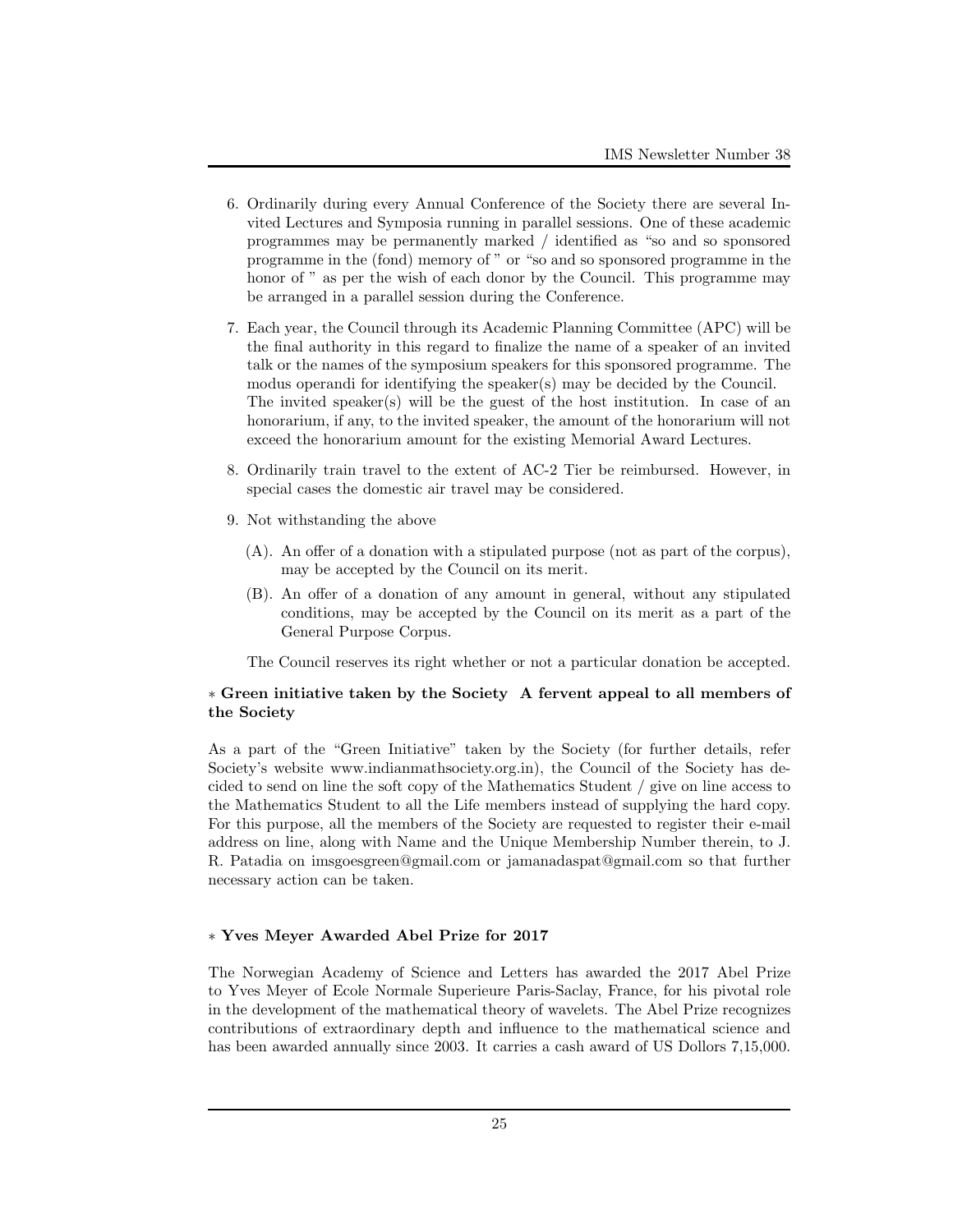- 6. Ordinarily during every Annual Conference of the Society there are several Invited Lectures and Symposia running in parallel sessions. One of these academic programmes may be permanently marked / identified as "so and so sponsored programme in the (fond) memory of " or "so and so sponsored programme in the honor of " as per the wish of each donor by the Council. This programme may be arranged in a parallel session during the Conference.
- 7. Each year, the Council through its Academic Planning Committee (APC) will be the final authority in this regard to finalize the name of a speaker of an invited talk or the names of the symposium speakers for this sponsored programme. The modus operandi for identifying the speaker(s) may be decided by the Council. The invited speaker(s) will be the guest of the host institution. In case of an honorarium, if any, to the invited speaker, the amount of the honorarium will not exceed the honorarium amount for the existing Memorial Award Lectures.
- 8. Ordinarily train travel to the extent of AC-2 Tier be reimbursed. However, in special cases the domestic air travel may be considered.
- 9. Not withstanding the above
	- (A). An offer of a donation with a stipulated purpose (not as part of the corpus), may be accepted by the Council on its merit.
	- (B). An offer of a donation of any amount in general, without any stipulated conditions, may be accepted by the Council on its merit as a part of the General Purpose Corpus.

The Council reserves its right whether or not a particular donation be accepted.

# ∗ Green initiative taken by the Society A fervent appeal to all members of the Society

As a part of the "Green Initiative" taken by the Society (for further details, refer Society's website www.indianmathsociety.org.in), the Council of the Society has decided to send on line the soft copy of the Mathematics Student / give on line access to the Mathematics Student to all the Life members instead of supplying the hard copy. For this purpose, all the members of the Society are requested to register their e-mail address on line, along with Name and the Unique Membership Number therein, to J. R. Patadia on imsgoesgreen@gmail.com or jamanadaspat@gmail.com so that further necessary action can be taken.

# ∗ Yves Meyer Awarded Abel Prize for 2017

The Norwegian Academy of Science and Letters has awarded the 2017 Abel Prize to Yves Meyer of Ecole Normale Superieure Paris-Saclay, France, for his pivotal role in the development of the mathematical theory of wavelets. The Abel Prize recognizes contributions of extraordinary depth and influence to the mathematical science and has been awarded annually since 2003. It carries a cash award of US Dollors 7,15,000.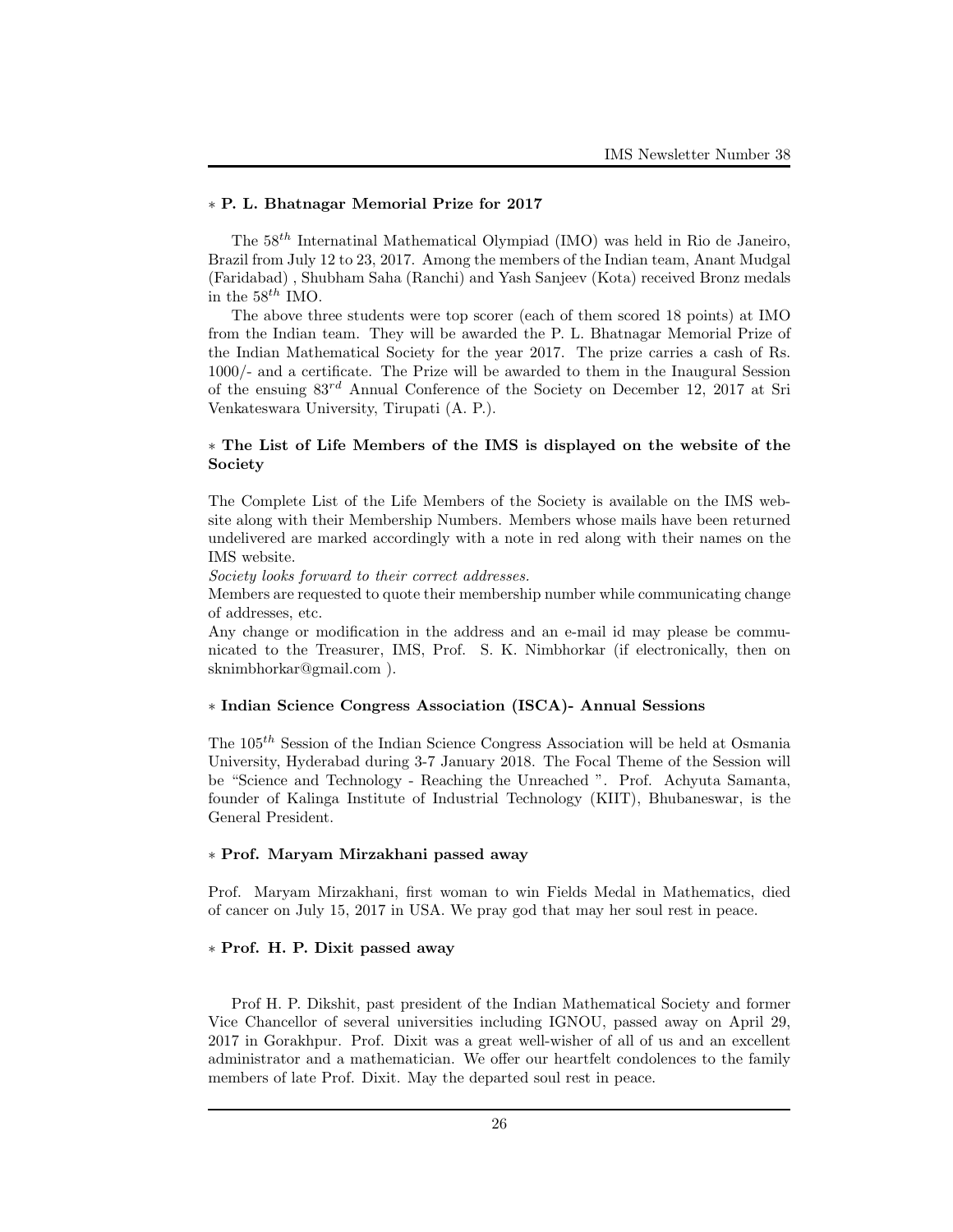# ∗ P. L. Bhatnagar Memorial Prize for 2017

The  $58<sup>th</sup>$  Internatinal Mathematical Olympiad (IMO) was held in Rio de Janeiro, Brazil from July 12 to 23, 2017. Among the members of the Indian team, Anant Mudgal (Faridabad) , Shubham Saha (Ranchi) and Yash Sanjeev (Kota) received Bronz medals in the  $58^{th}$  IMO.

The above three students were top scorer (each of them scored 18 points) at IMO from the Indian team. They will be awarded the P. L. Bhatnagar Memorial Prize of the Indian Mathematical Society for the year 2017. The prize carries a cash of Rs. 1000/- and a certificate. The Prize will be awarded to them in the Inaugural Session of the ensuing  $83^{rd}$  Annual Conference of the Society on December 12, 2017 at Sri Venkateswara University, Tirupati (A. P.).

# ∗ The List of Life Members of the IMS is displayed on the website of the Society

The Complete List of the Life Members of the Society is available on the IMS website along with their Membership Numbers. Members whose mails have been returned undelivered are marked accordingly with a note in red along with their names on the IMS website.

Society looks forward to their correct addresses.

Members are requested to quote their membership number while communicating change of addresses, etc.

Any change or modification in the address and an e-mail id may please be communicated to the Treasurer, IMS, Prof. S. K. Nimbhorkar (if electronically, then on sknimbhorkar@gmail.com ).

# ∗ Indian Science Congress Association (ISCA)- Annual Sessions

The 105th Session of the Indian Science Congress Association will be held at Osmania University, Hyderabad during 3-7 January 2018. The Focal Theme of the Session will be "Science and Technology - Reaching the Unreached ". Prof. Achyuta Samanta, founder of Kalinga Institute of Industrial Technology (KIIT), Bhubaneswar, is the General President.

# ∗ Prof. Maryam Mirzakhani passed away

Prof. Maryam Mirzakhani, first woman to win Fields Medal in Mathematics, died of cancer on July 15, 2017 in USA. We pray god that may her soul rest in peace.

# ∗ Prof. H. P. Dixit passed away

Prof H. P. Dikshit, past president of the Indian Mathematical Society and former Vice Chancellor of several universities including IGNOU, passed away on April 29, 2017 in Gorakhpur. Prof. Dixit was a great well-wisher of all of us and an excellent administrator and a mathematician. We offer our heartfelt condolences to the family members of late Prof. Dixit. May the departed soul rest in peace.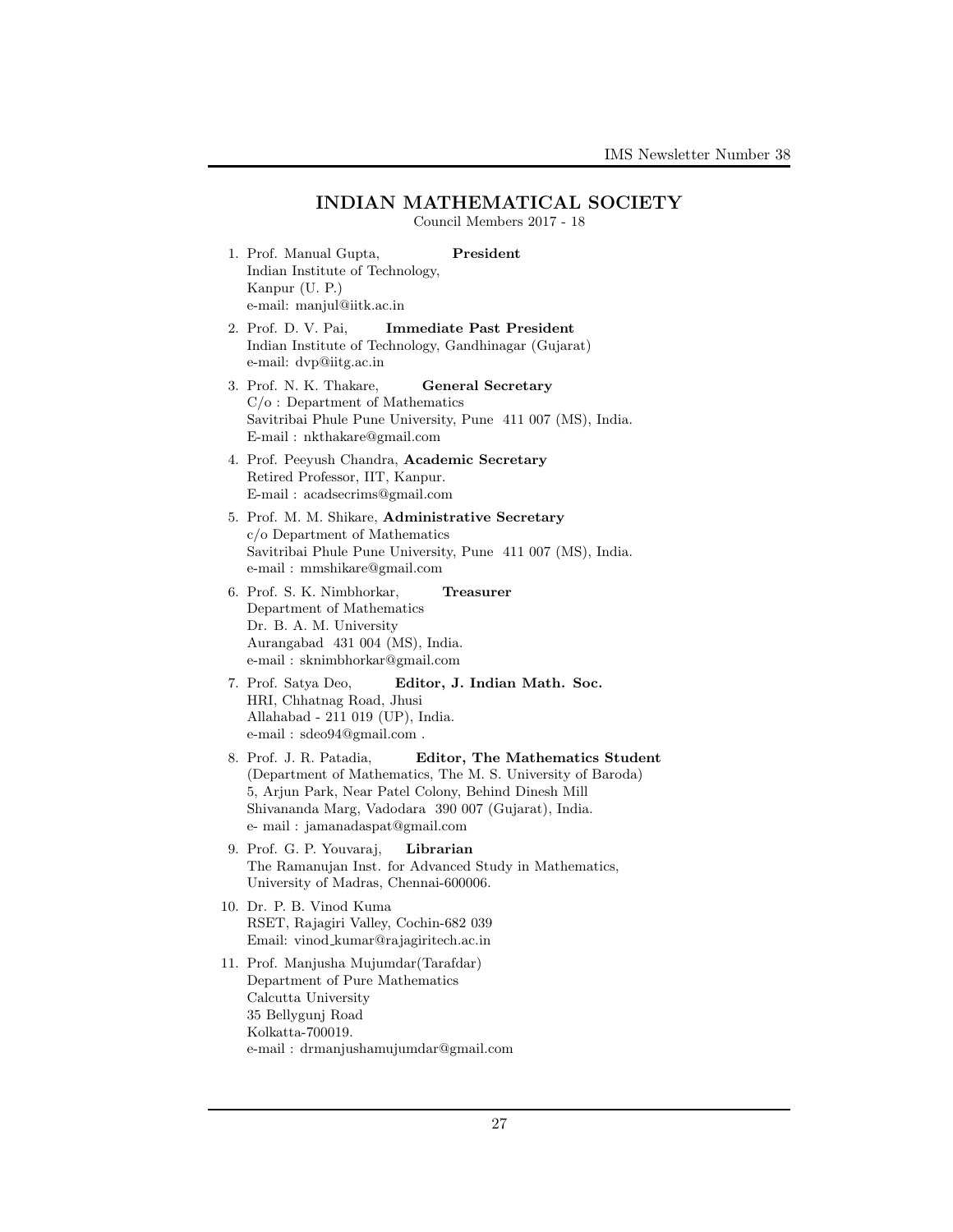### INDIAN MATHEMATICAL SOCIETY Council Members 2017 - 18

- 1. Prof. Manual Gupta, President Indian Institute of Technology, Kanpur (U. P.) e-mail: manjul@iitk.ac.in
- 2. Prof. D. V. Pai, Immediate Past President Indian Institute of Technology, Gandhinagar (Gujarat) e-mail: dvp@iitg.ac.in
- 3. Prof. N. K. Thakare, General Secretary C/o : Department of Mathematics Savitribai Phule Pune University, Pune 411 007 (MS), India. E-mail : nkthakare@gmail.com
- 4. Prof. Peeyush Chandra, Academic Secretary Retired Professor, IIT, Kanpur. E-mail : acadsecrims@gmail.com
- 5. Prof. M. M. Shikare, Administrative Secretary c/o Department of Mathematics Savitribai Phule Pune University, Pune 411 007 (MS), India. e-mail : mmshikare@gmail.com
- 6. Prof. S. K. Nimbhorkar, Treasurer Department of Mathematics Dr. B. A. M. University Aurangabad 431 004 (MS), India. e-mail : sknimbhorkar@gmail.com
- 7. Prof. Satya Deo, Editor, J. Indian Math. Soc. HRI, Chhatnag Road, Jhusi Allahabad - 211 019 (UP), India. e-mail : sdeo94@gmail.com .
- 8. Prof. J. R. Patadia, Editor, The Mathematics Student (Department of Mathematics, The M. S. University of Baroda) 5, Arjun Park, Near Patel Colony, Behind Dinesh Mill Shivananda Marg, Vadodara 390 007 (Gujarat), India. e- mail : jamanadaspat@gmail.com
- 9. Prof. G. P. Youvaraj, Librarian The Ramanujan Inst. for Advanced Study in Mathematics, University of Madras, Chennai-600006.
- 10. Dr. P. B. Vinod Kuma RSET, Rajagiri Valley, Cochin-682 039 Email: vinod kumar@rajagiritech.ac.in
- 11. Prof. Manjusha Mujumdar(Tarafdar) Department of Pure Mathematics Calcutta University 35 Bellygunj Road Kolkatta-700019. e-mail : drmanjushamujumdar@gmail.com